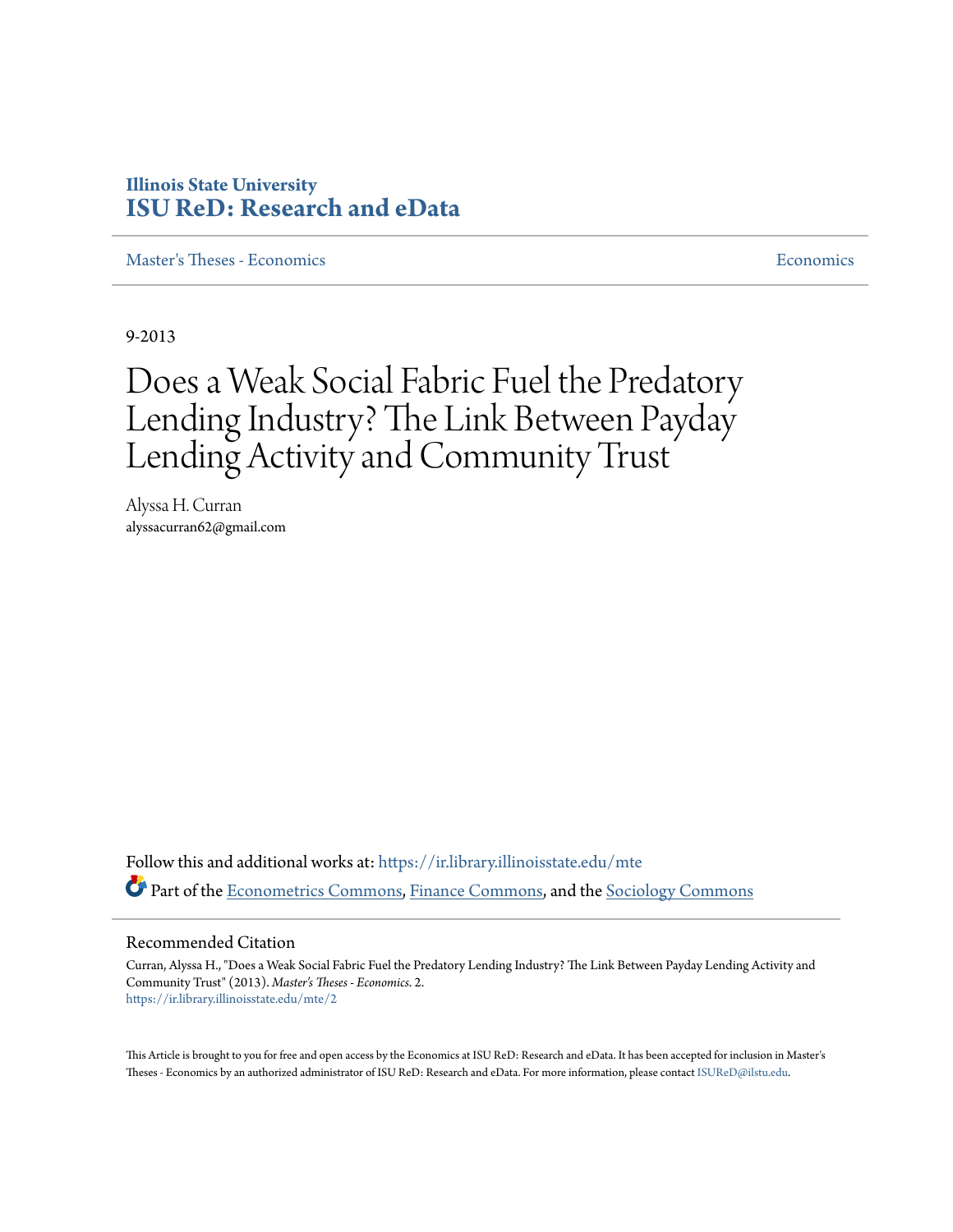# **Illinois State University [ISU ReD: Research and eData](https://ir.library.illinoisstate.edu?utm_source=ir.library.illinoisstate.edu%2Fmte%2F2&utm_medium=PDF&utm_campaign=PDFCoverPages)**

[Master's Theses - Economics](https://ir.library.illinoisstate.edu/mte?utm_source=ir.library.illinoisstate.edu%2Fmte%2F2&utm_medium=PDF&utm_campaign=PDFCoverPages) [Economics](https://ir.library.illinoisstate.edu/e?utm_source=ir.library.illinoisstate.edu%2Fmte%2F2&utm_medium=PDF&utm_campaign=PDFCoverPages)

9-2013

# Does a Weak Social Fabric Fuel the Predatory Lending Industry? The Link Between Payday Lending Activity and Community Trust

Alyssa H. Curran alyssacurran62@gmail.com

Follow this and additional works at: [https://ir.library.illinoisstate.edu/mte](https://ir.library.illinoisstate.edu/mte?utm_source=ir.library.illinoisstate.edu%2Fmte%2F2&utm_medium=PDF&utm_campaign=PDFCoverPages) Part of the [Econometrics Commons,](http://network.bepress.com/hgg/discipline/342?utm_source=ir.library.illinoisstate.edu%2Fmte%2F2&utm_medium=PDF&utm_campaign=PDFCoverPages) [Finance Commons,](http://network.bepress.com/hgg/discipline/345?utm_source=ir.library.illinoisstate.edu%2Fmte%2F2&utm_medium=PDF&utm_campaign=PDFCoverPages) and the [Sociology Commons](http://network.bepress.com/hgg/discipline/416?utm_source=ir.library.illinoisstate.edu%2Fmte%2F2&utm_medium=PDF&utm_campaign=PDFCoverPages)

#### Recommended Citation

Curran, Alyssa H., "Does a Weak Social Fabric Fuel the Predatory Lending Industry? The Link Between Payday Lending Activity and Community Trust" (2013). *Master's Theses - Economics*. 2. [https://ir.library.illinoisstate.edu/mte/2](https://ir.library.illinoisstate.edu/mte/2?utm_source=ir.library.illinoisstate.edu%2Fmte%2F2&utm_medium=PDF&utm_campaign=PDFCoverPages)

This Article is brought to you for free and open access by the Economics at ISU ReD: Research and eData. It has been accepted for inclusion in Master's Theses - Economics by an authorized administrator of ISU ReD: Research and eData. For more information, please contact [ISUReD@ilstu.edu](mailto:ISUReD@ilstu.edu).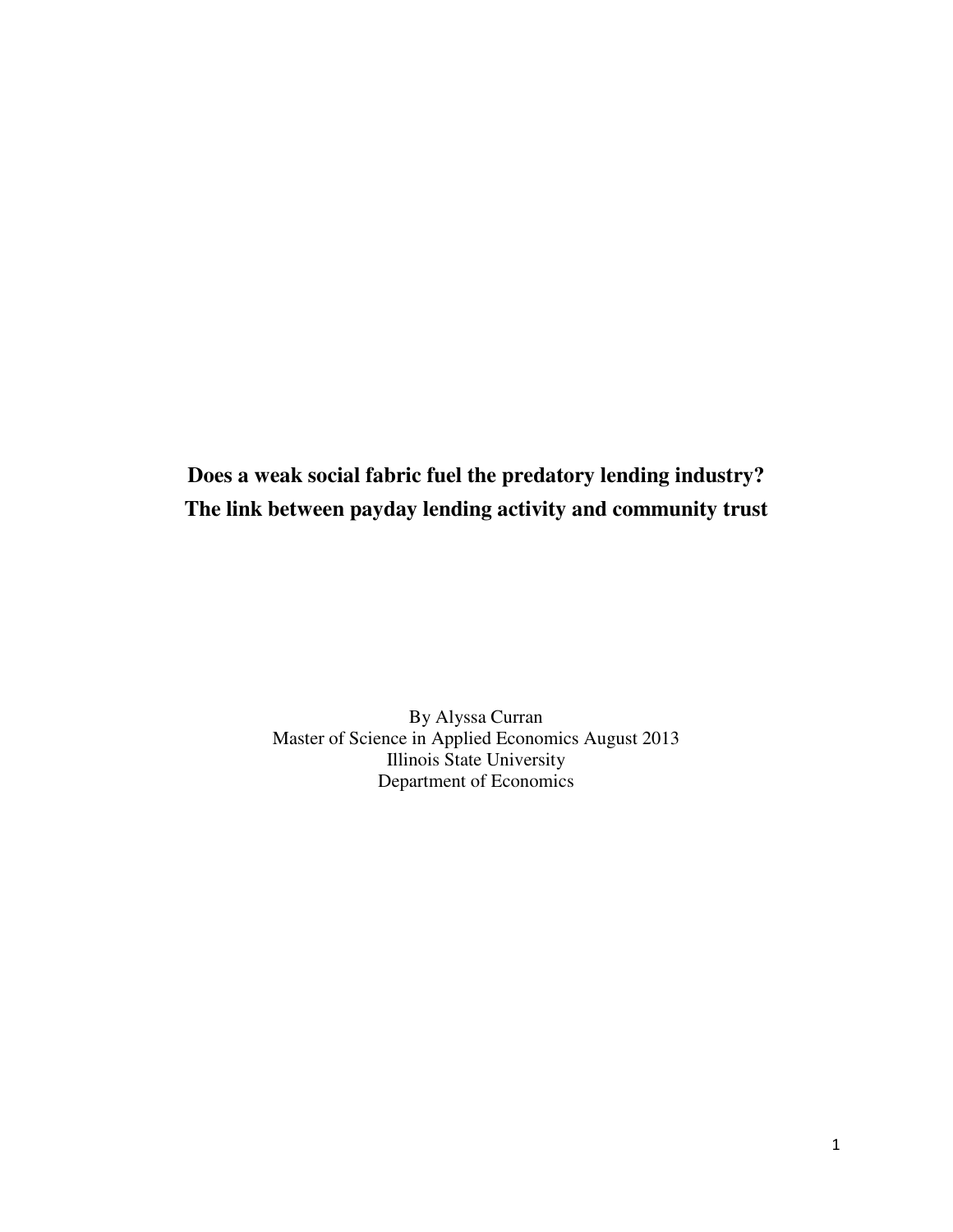**Does a weak social fabric fuel the predatory lending industry? The link between payday lending activity and community trust** 

> By Alyssa Curran Master of Science in Applied Economics August 2013 Illinois State University Department of Economics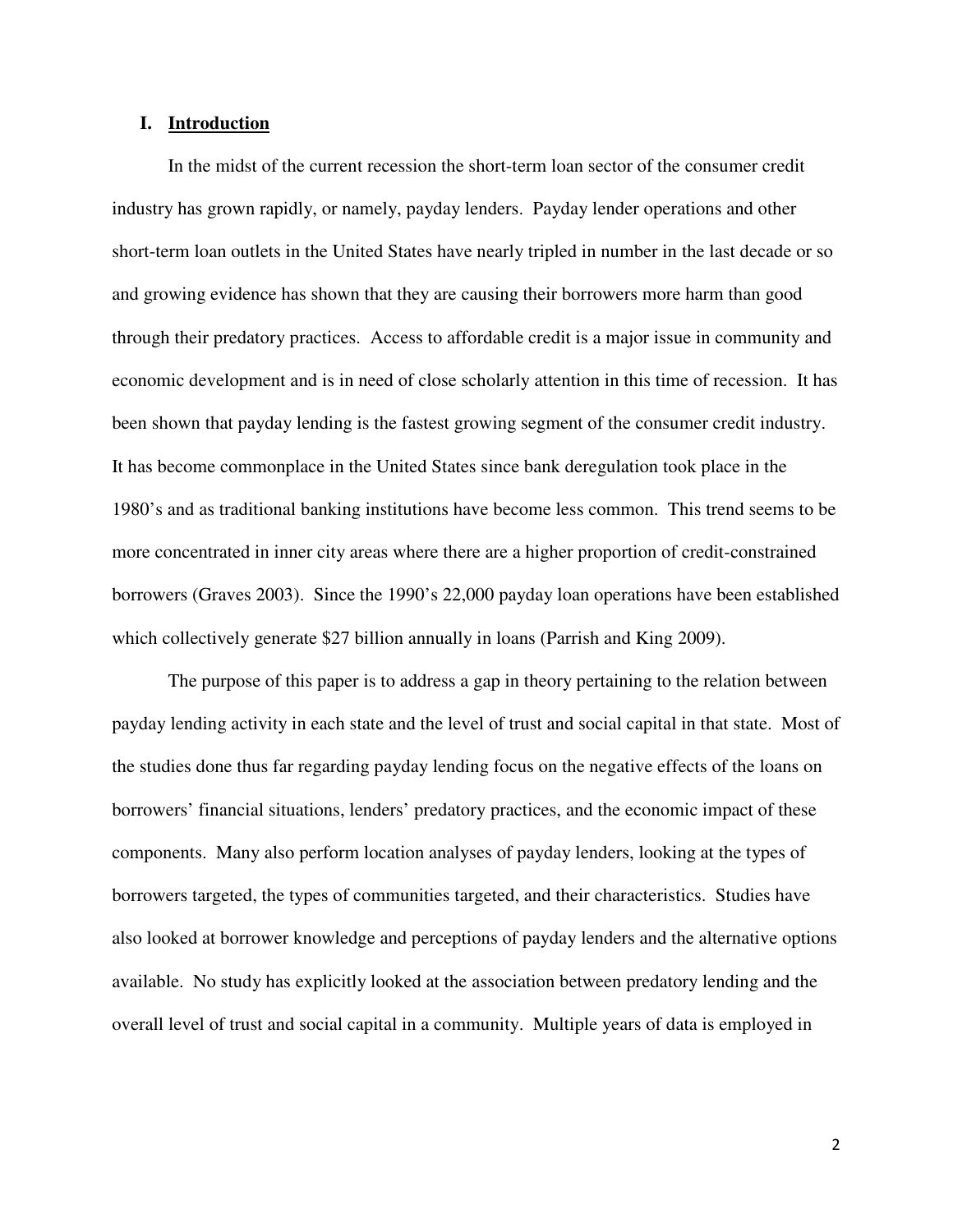# **I. Introduction**

In the midst of the current recession the short-term loan sector of the consumer credit industry has grown rapidly, or namely, payday lenders. Payday lender operations and other short-term loan outlets in the United States have nearly tripled in number in the last decade or so and growing evidence has shown that they are causing their borrowers more harm than good through their predatory practices. Access to affordable credit is a major issue in community and economic development and is in need of close scholarly attention in this time of recession. It has been shown that payday lending is the fastest growing segment of the consumer credit industry. It has become commonplace in the United States since bank deregulation took place in the 1980's and as traditional banking institutions have become less common. This trend seems to be more concentrated in inner city areas where there are a higher proportion of credit-constrained borrowers (Graves 2003). Since the 1990's 22,000 payday loan operations have been established which collectively generate \$27 billion annually in loans (Parrish and King 2009).

 The purpose of this paper is to address a gap in theory pertaining to the relation between payday lending activity in each state and the level of trust and social capital in that state. Most of the studies done thus far regarding payday lending focus on the negative effects of the loans on borrowers' financial situations, lenders' predatory practices, and the economic impact of these components. Many also perform location analyses of payday lenders, looking at the types of borrowers targeted, the types of communities targeted, and their characteristics. Studies have also looked at borrower knowledge and perceptions of payday lenders and the alternative options available. No study has explicitly looked at the association between predatory lending and the overall level of trust and social capital in a community. Multiple years of data is employed in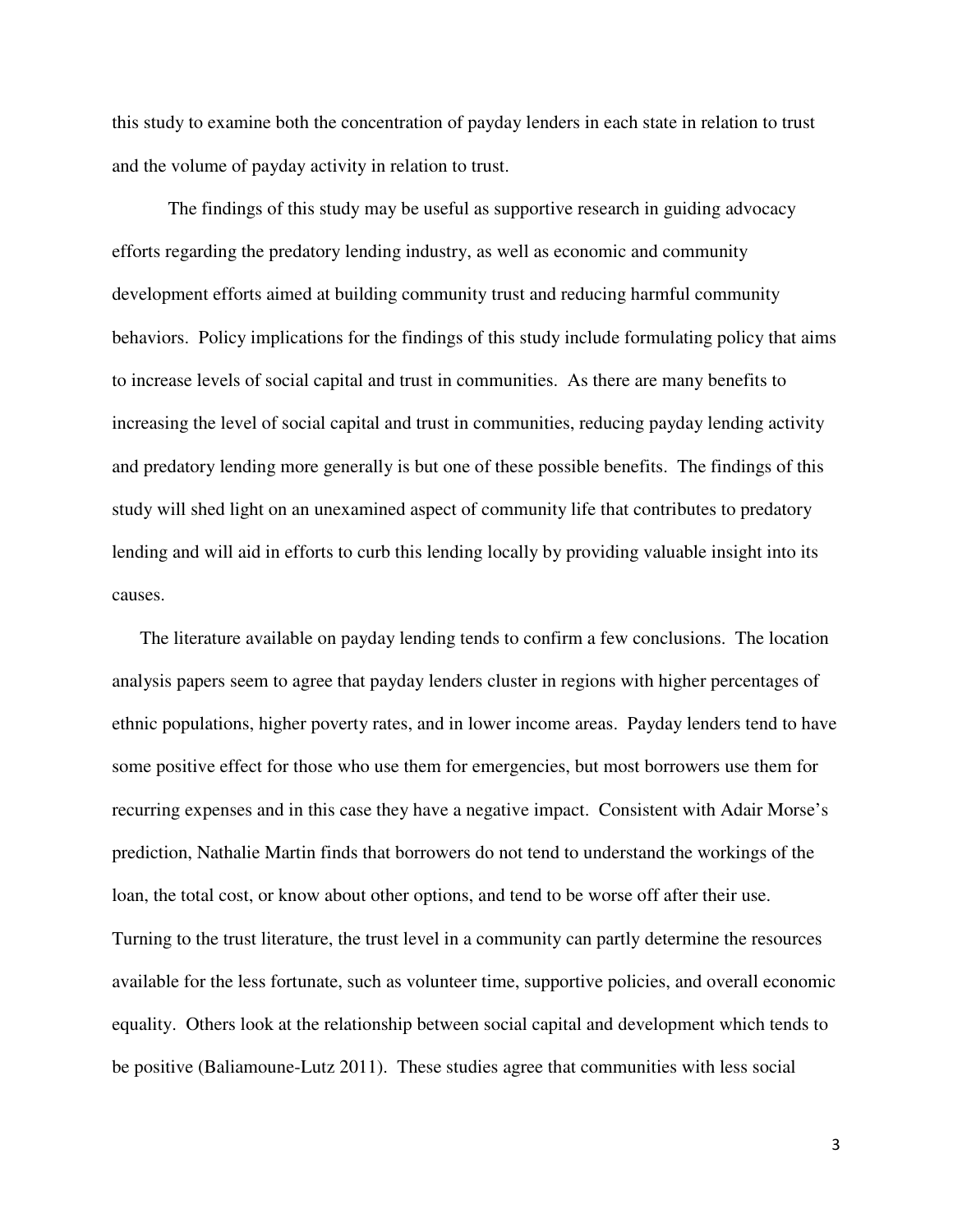this study to examine both the concentration of payday lenders in each state in relation to trust and the volume of payday activity in relation to trust.

 The findings of this study may be useful as supportive research in guiding advocacy efforts regarding the predatory lending industry, as well as economic and community development efforts aimed at building community trust and reducing harmful community behaviors. Policy implications for the findings of this study include formulating policy that aims to increase levels of social capital and trust in communities. As there are many benefits to increasing the level of social capital and trust in communities, reducing payday lending activity and predatory lending more generally is but one of these possible benefits. The findings of this study will shed light on an unexamined aspect of community life that contributes to predatory lending and will aid in efforts to curb this lending locally by providing valuable insight into its causes.

The literature available on payday lending tends to confirm a few conclusions. The location analysis papers seem to agree that payday lenders cluster in regions with higher percentages of ethnic populations, higher poverty rates, and in lower income areas. Payday lenders tend to have some positive effect for those who use them for emergencies, but most borrowers use them for recurring expenses and in this case they have a negative impact. Consistent with Adair Morse's prediction, Nathalie Martin finds that borrowers do not tend to understand the workings of the loan, the total cost, or know about other options, and tend to be worse off after their use. Turning to the trust literature, the trust level in a community can partly determine the resources available for the less fortunate, such as volunteer time, supportive policies, and overall economic equality. Others look at the relationship between social capital and development which tends to be positive (Baliamoune-Lutz 2011). These studies agree that communities with less social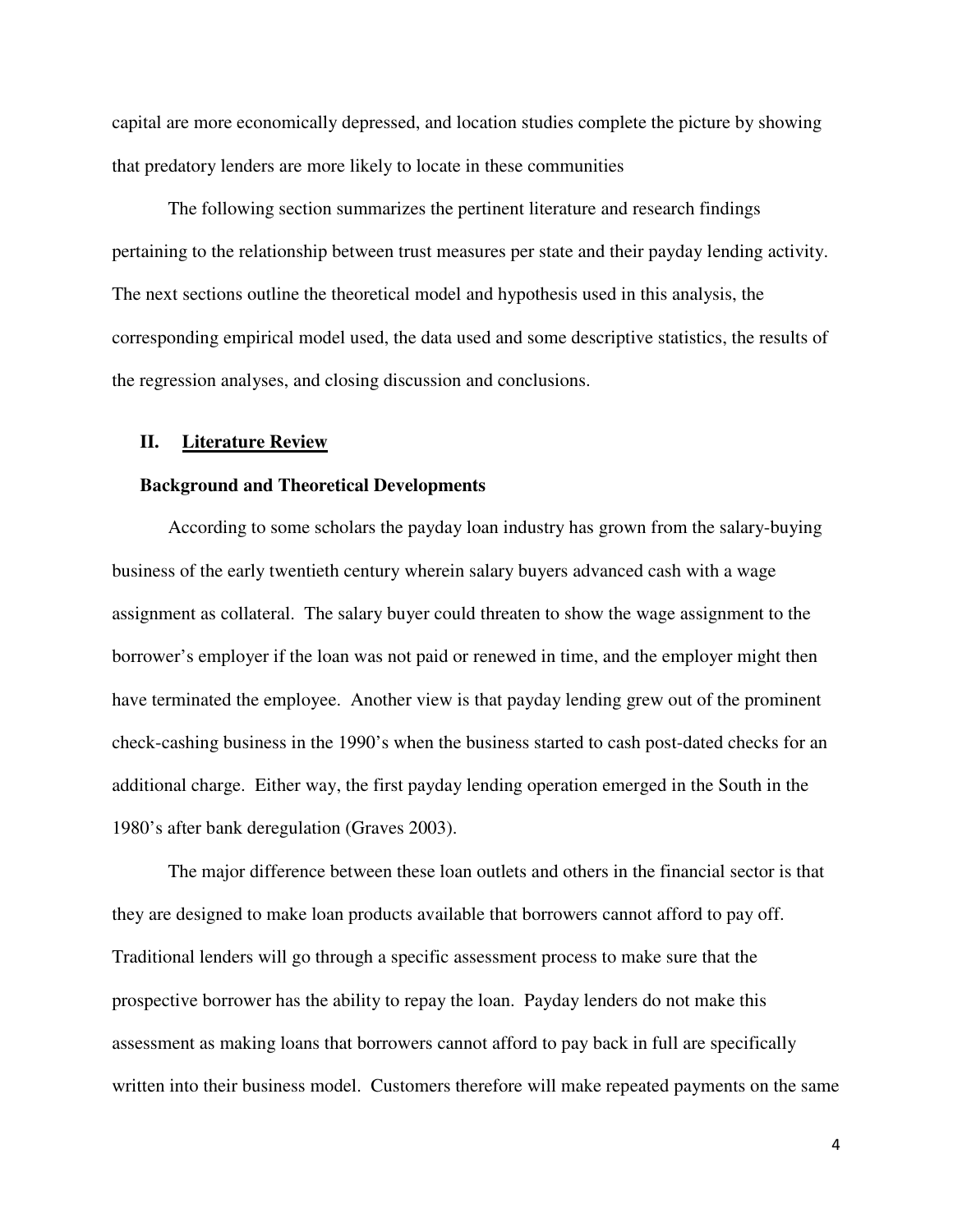capital are more economically depressed, and location studies complete the picture by showing that predatory lenders are more likely to locate in these communities

The following section summarizes the pertinent literature and research findings pertaining to the relationship between trust measures per state and their payday lending activity. The next sections outline the theoretical model and hypothesis used in this analysis, the corresponding empirical model used, the data used and some descriptive statistics, the results of the regression analyses, and closing discussion and conclusions.

#### **II. Literature Review**

#### **Background and Theoretical Developments**

According to some scholars the payday loan industry has grown from the salary-buying business of the early twentieth century wherein salary buyers advanced cash with a wage assignment as collateral. The salary buyer could threaten to show the wage assignment to the borrower's employer if the loan was not paid or renewed in time, and the employer might then have terminated the employee. Another view is that payday lending grew out of the prominent check-cashing business in the 1990's when the business started to cash post-dated checks for an additional charge. Either way, the first payday lending operation emerged in the South in the 1980's after bank deregulation (Graves 2003).

The major difference between these loan outlets and others in the financial sector is that they are designed to make loan products available that borrowers cannot afford to pay off. Traditional lenders will go through a specific assessment process to make sure that the prospective borrower has the ability to repay the loan. Payday lenders do not make this assessment as making loans that borrowers cannot afford to pay back in full are specifically written into their business model. Customers therefore will make repeated payments on the same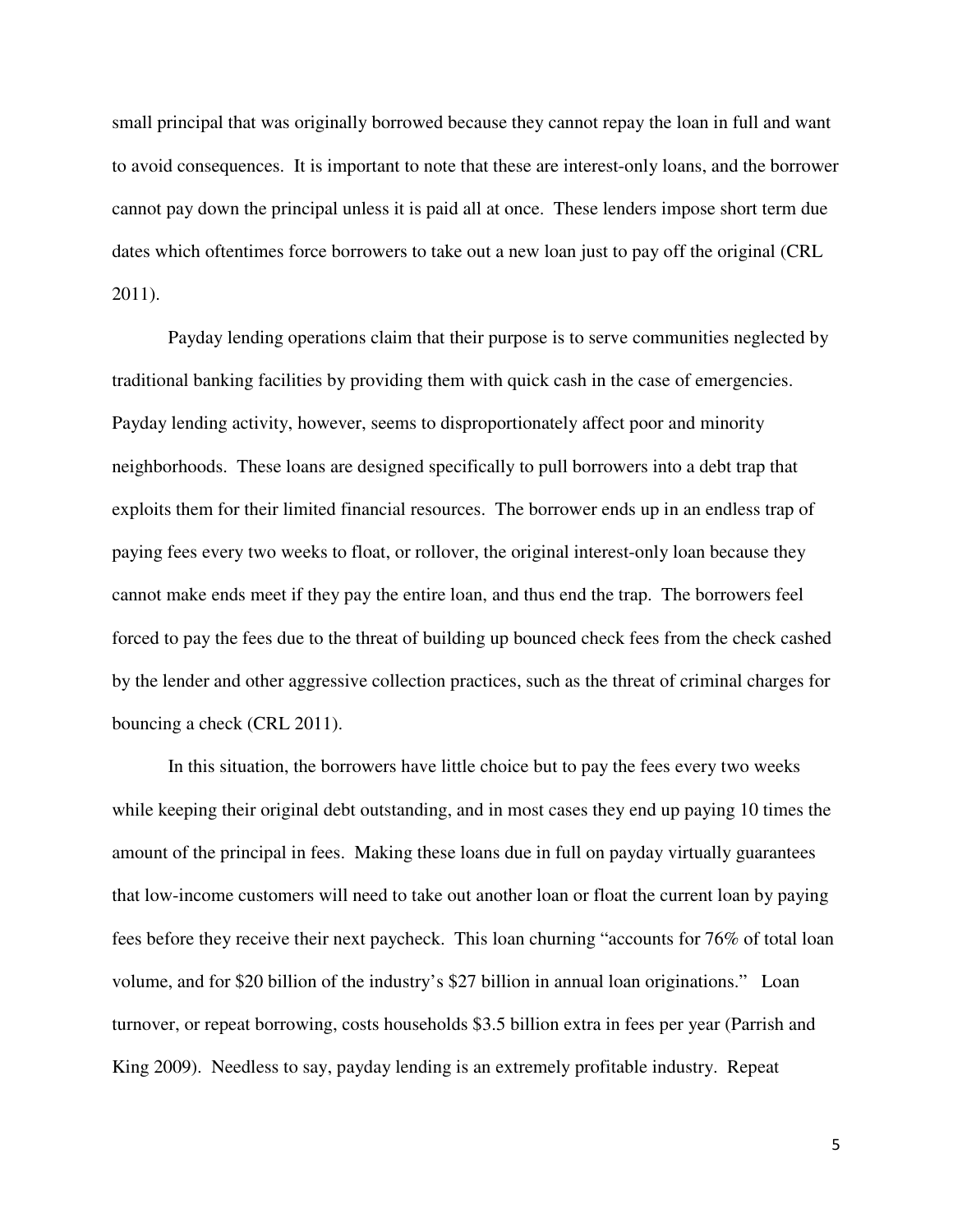small principal that was originally borrowed because they cannot repay the loan in full and want to avoid consequences. It is important to note that these are interest-only loans, and the borrower cannot pay down the principal unless it is paid all at once. These lenders impose short term due dates which oftentimes force borrowers to take out a new loan just to pay off the original (CRL 2011).

Payday lending operations claim that their purpose is to serve communities neglected by traditional banking facilities by providing them with quick cash in the case of emergencies. Payday lending activity, however, seems to disproportionately affect poor and minority neighborhoods. These loans are designed specifically to pull borrowers into a debt trap that exploits them for their limited financial resources. The borrower ends up in an endless trap of paying fees every two weeks to float, or rollover, the original interest-only loan because they cannot make ends meet if they pay the entire loan, and thus end the trap. The borrowers feel forced to pay the fees due to the threat of building up bounced check fees from the check cashed by the lender and other aggressive collection practices, such as the threat of criminal charges for bouncing a check (CRL 2011).

In this situation, the borrowers have little choice but to pay the fees every two weeks while keeping their original debt outstanding, and in most cases they end up paying 10 times the amount of the principal in fees. Making these loans due in full on payday virtually guarantees that low-income customers will need to take out another loan or float the current loan by paying fees before they receive their next paycheck. This loan churning "accounts for 76% of total loan volume, and for \$20 billion of the industry's \$27 billion in annual loan originations." Loan turnover, or repeat borrowing, costs households \$3.5 billion extra in fees per year (Parrish and King 2009). Needless to say, payday lending is an extremely profitable industry. Repeat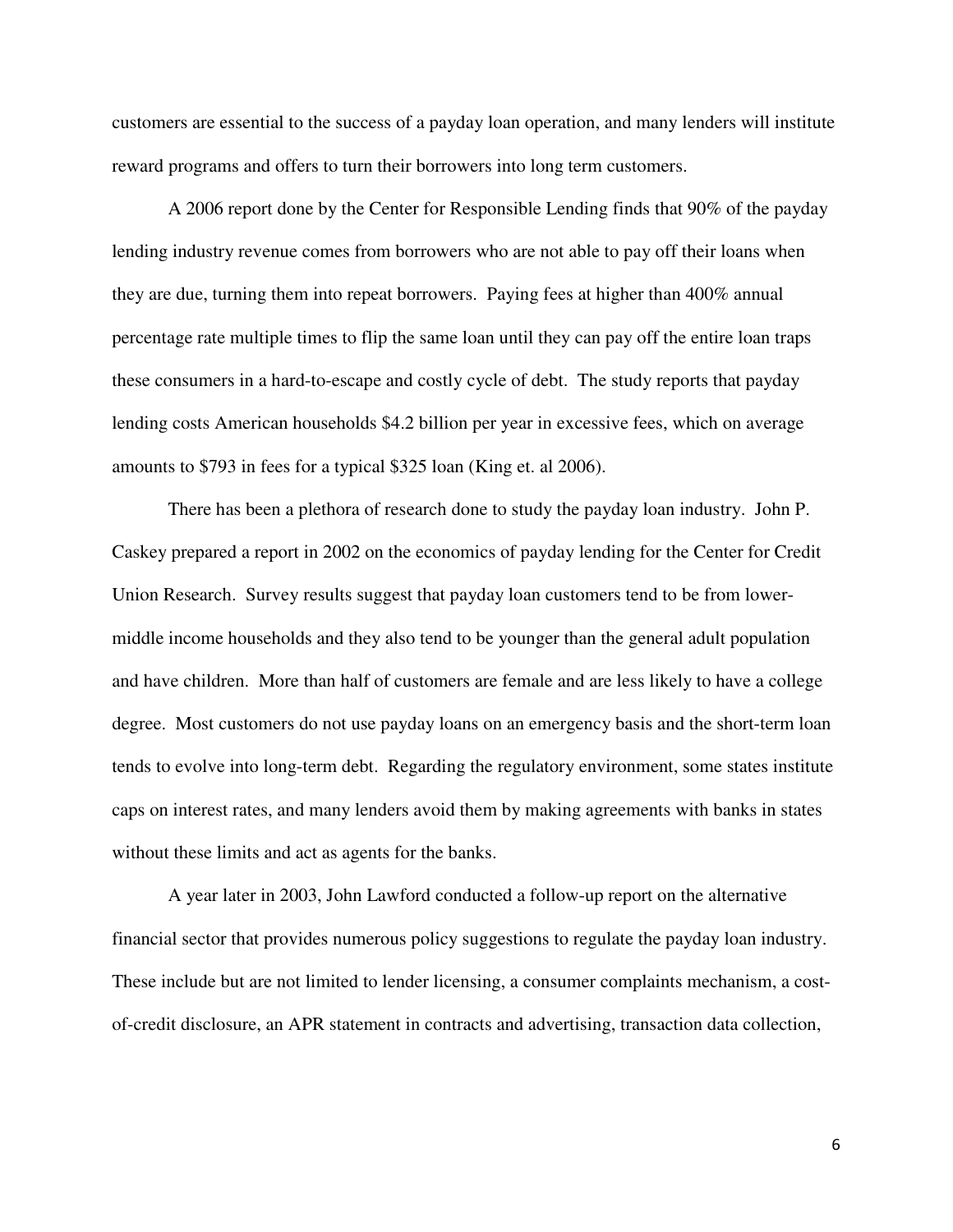customers are essential to the success of a payday loan operation, and many lenders will institute reward programs and offers to turn their borrowers into long term customers.

A 2006 report done by the Center for Responsible Lending finds that 90% of the payday lending industry revenue comes from borrowers who are not able to pay off their loans when they are due, turning them into repeat borrowers. Paying fees at higher than 400% annual percentage rate multiple times to flip the same loan until they can pay off the entire loan traps these consumers in a hard-to-escape and costly cycle of debt. The study reports that payday lending costs American households \$4.2 billion per year in excessive fees, which on average amounts to \$793 in fees for a typical \$325 loan (King et. al 2006).

There has been a plethora of research done to study the payday loan industry. John P. Caskey prepared a report in 2002 on the economics of payday lending for the Center for Credit Union Research. Survey results suggest that payday loan customers tend to be from lowermiddle income households and they also tend to be younger than the general adult population and have children. More than half of customers are female and are less likely to have a college degree. Most customers do not use payday loans on an emergency basis and the short-term loan tends to evolve into long-term debt. Regarding the regulatory environment, some states institute caps on interest rates, and many lenders avoid them by making agreements with banks in states without these limits and act as agents for the banks.

A year later in 2003, John Lawford conducted a follow-up report on the alternative financial sector that provides numerous policy suggestions to regulate the payday loan industry. These include but are not limited to lender licensing, a consumer complaints mechanism, a costof-credit disclosure, an APR statement in contracts and advertising, transaction data collection,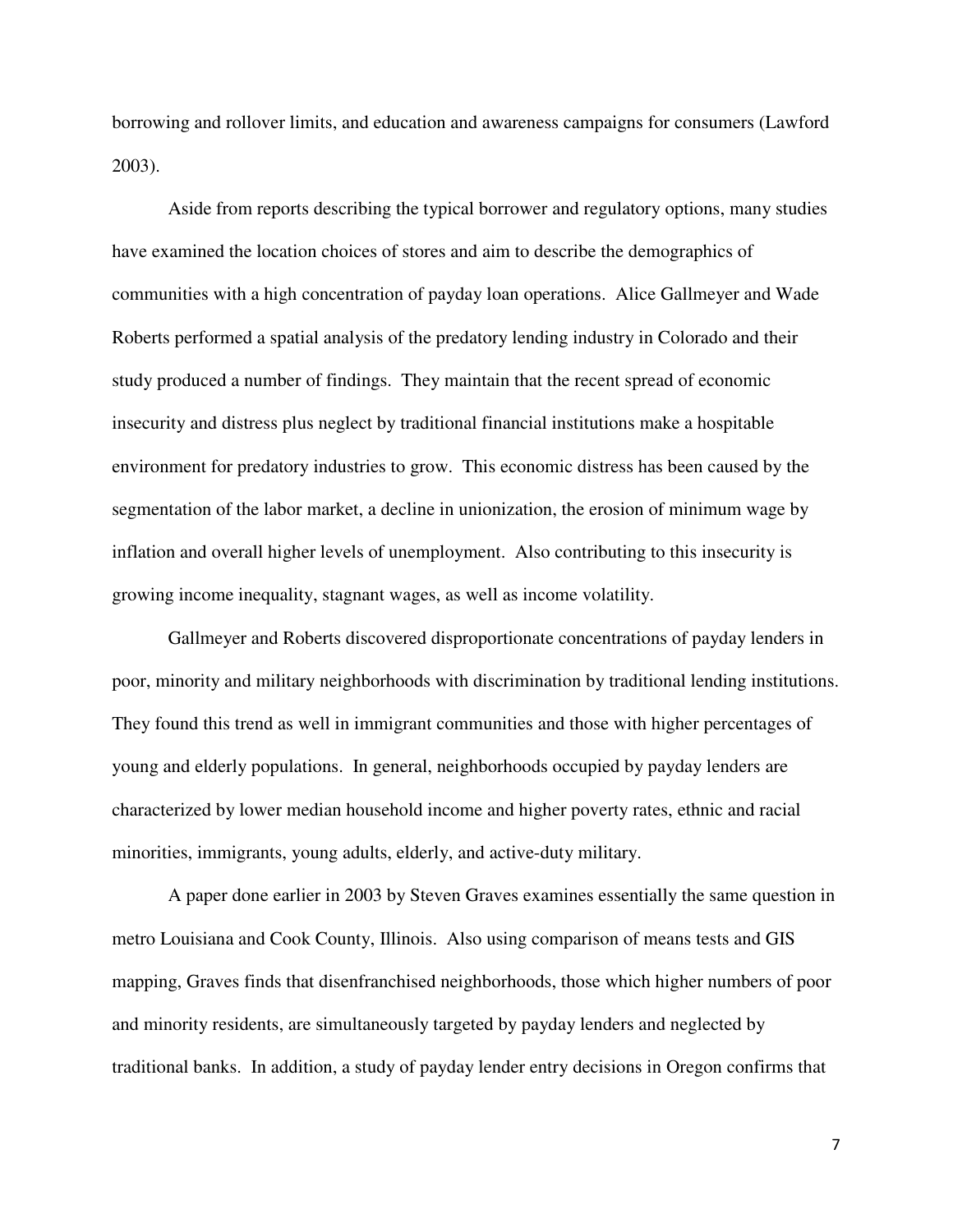borrowing and rollover limits, and education and awareness campaigns for consumers (Lawford 2003).

Aside from reports describing the typical borrower and regulatory options, many studies have examined the location choices of stores and aim to describe the demographics of communities with a high concentration of payday loan operations. Alice Gallmeyer and Wade Roberts performed a spatial analysis of the predatory lending industry in Colorado and their study produced a number of findings. They maintain that the recent spread of economic insecurity and distress plus neglect by traditional financial institutions make a hospitable environment for predatory industries to grow. This economic distress has been caused by the segmentation of the labor market, a decline in unionization, the erosion of minimum wage by inflation and overall higher levels of unemployment. Also contributing to this insecurity is growing income inequality, stagnant wages, as well as income volatility.

Gallmeyer and Roberts discovered disproportionate concentrations of payday lenders in poor, minority and military neighborhoods with discrimination by traditional lending institutions. They found this trend as well in immigrant communities and those with higher percentages of young and elderly populations. In general, neighborhoods occupied by payday lenders are characterized by lower median household income and higher poverty rates, ethnic and racial minorities, immigrants, young adults, elderly, and active-duty military.

A paper done earlier in 2003 by Steven Graves examines essentially the same question in metro Louisiana and Cook County, Illinois. Also using comparison of means tests and GIS mapping, Graves finds that disenfranchised neighborhoods, those which higher numbers of poor and minority residents, are simultaneously targeted by payday lenders and neglected by traditional banks. In addition, a study of payday lender entry decisions in Oregon confirms that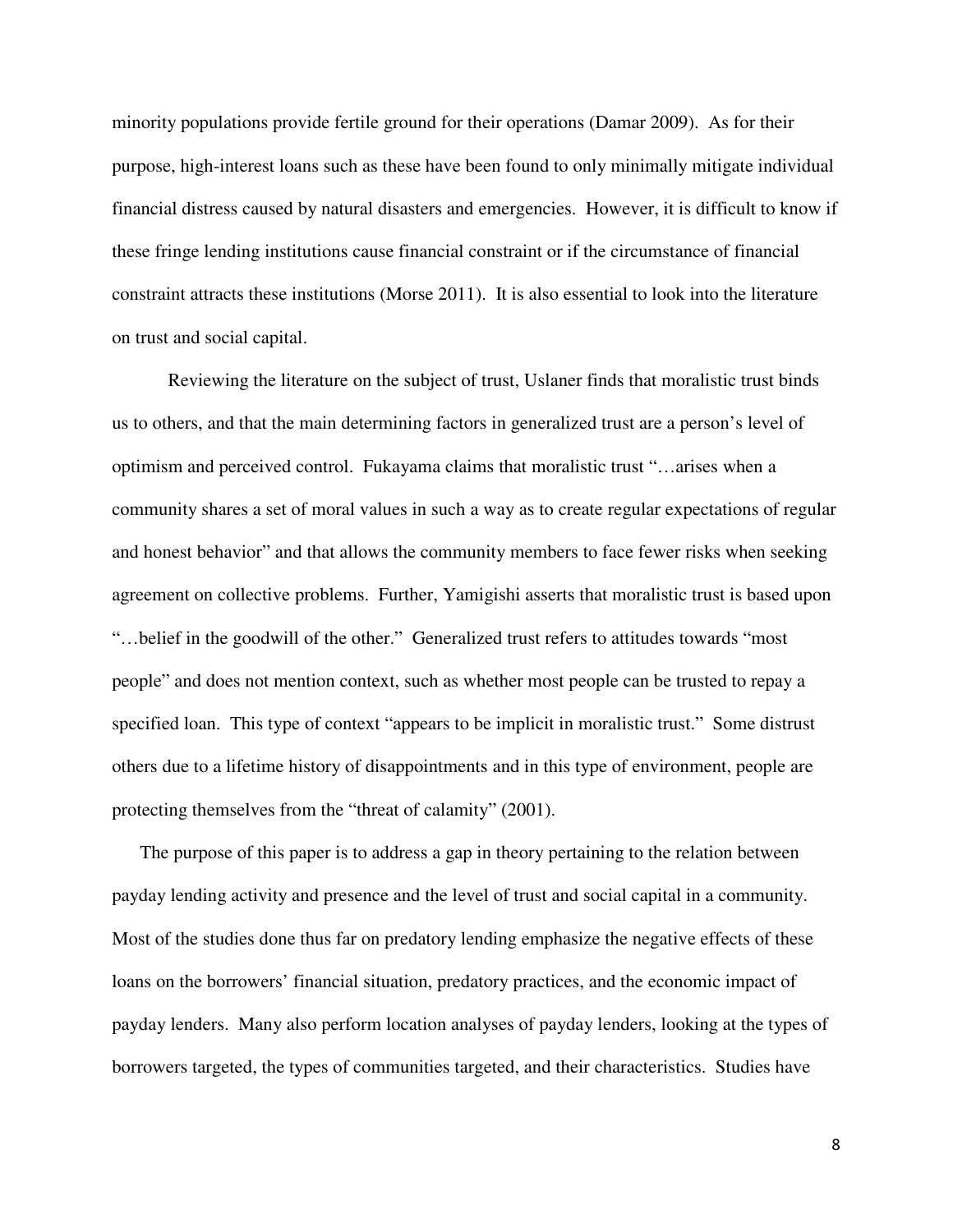minority populations provide fertile ground for their operations (Damar 2009). As for their purpose, high-interest loans such as these have been found to only minimally mitigate individual financial distress caused by natural disasters and emergencies. However, it is difficult to know if these fringe lending institutions cause financial constraint or if the circumstance of financial constraint attracts these institutions (Morse 2011). It is also essential to look into the literature on trust and social capital.

Reviewing the literature on the subject of trust, Uslaner finds that moralistic trust binds us to others, and that the main determining factors in generalized trust are a person's level of optimism and perceived control. Fukayama claims that moralistic trust "…arises when a community shares a set of moral values in such a way as to create regular expectations of regular and honest behavior" and that allows the community members to face fewer risks when seeking agreement on collective problems. Further, Yamigishi asserts that moralistic trust is based upon "…belief in the goodwill of the other." Generalized trust refers to attitudes towards "most people" and does not mention context, such as whether most people can be trusted to repay a specified loan. This type of context "appears to be implicit in moralistic trust." Some distrust others due to a lifetime history of disappointments and in this type of environment, people are protecting themselves from the "threat of calamity" (2001).

The purpose of this paper is to address a gap in theory pertaining to the relation between payday lending activity and presence and the level of trust and social capital in a community. Most of the studies done thus far on predatory lending emphasize the negative effects of these loans on the borrowers' financial situation, predatory practices, and the economic impact of payday lenders. Many also perform location analyses of payday lenders, looking at the types of borrowers targeted, the types of communities targeted, and their characteristics. Studies have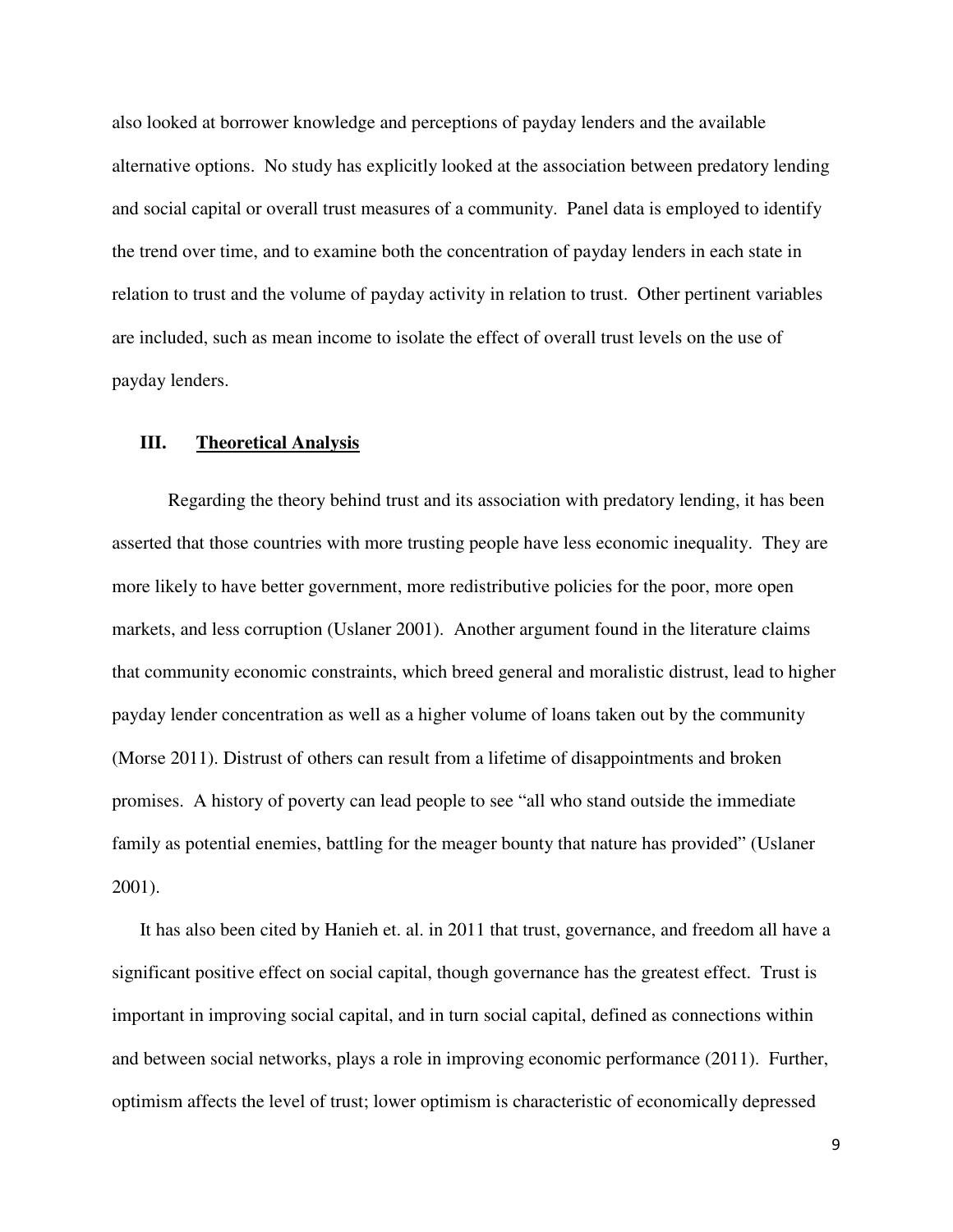also looked at borrower knowledge and perceptions of payday lenders and the available alternative options. No study has explicitly looked at the association between predatory lending and social capital or overall trust measures of a community. Panel data is employed to identify the trend over time, and to examine both the concentration of payday lenders in each state in relation to trust and the volume of payday activity in relation to trust. Other pertinent variables are included, such as mean income to isolate the effect of overall trust levels on the use of payday lenders.

# **III. Theoretical Analysis**

Regarding the theory behind trust and its association with predatory lending, it has been asserted that those countries with more trusting people have less economic inequality. They are more likely to have better government, more redistributive policies for the poor, more open markets, and less corruption (Uslaner 2001). Another argument found in the literature claims that community economic constraints, which breed general and moralistic distrust, lead to higher payday lender concentration as well as a higher volume of loans taken out by the community (Morse 2011). Distrust of others can result from a lifetime of disappointments and broken promises. A history of poverty can lead people to see "all who stand outside the immediate family as potential enemies, battling for the meager bounty that nature has provided" (Uslaner 2001).

It has also been cited by Hanieh et. al. in 2011 that trust, governance, and freedom all have a significant positive effect on social capital, though governance has the greatest effect. Trust is important in improving social capital, and in turn social capital, defined as connections within and between social networks, plays a role in improving economic performance (2011). Further, optimism affects the level of trust; lower optimism is characteristic of economically depressed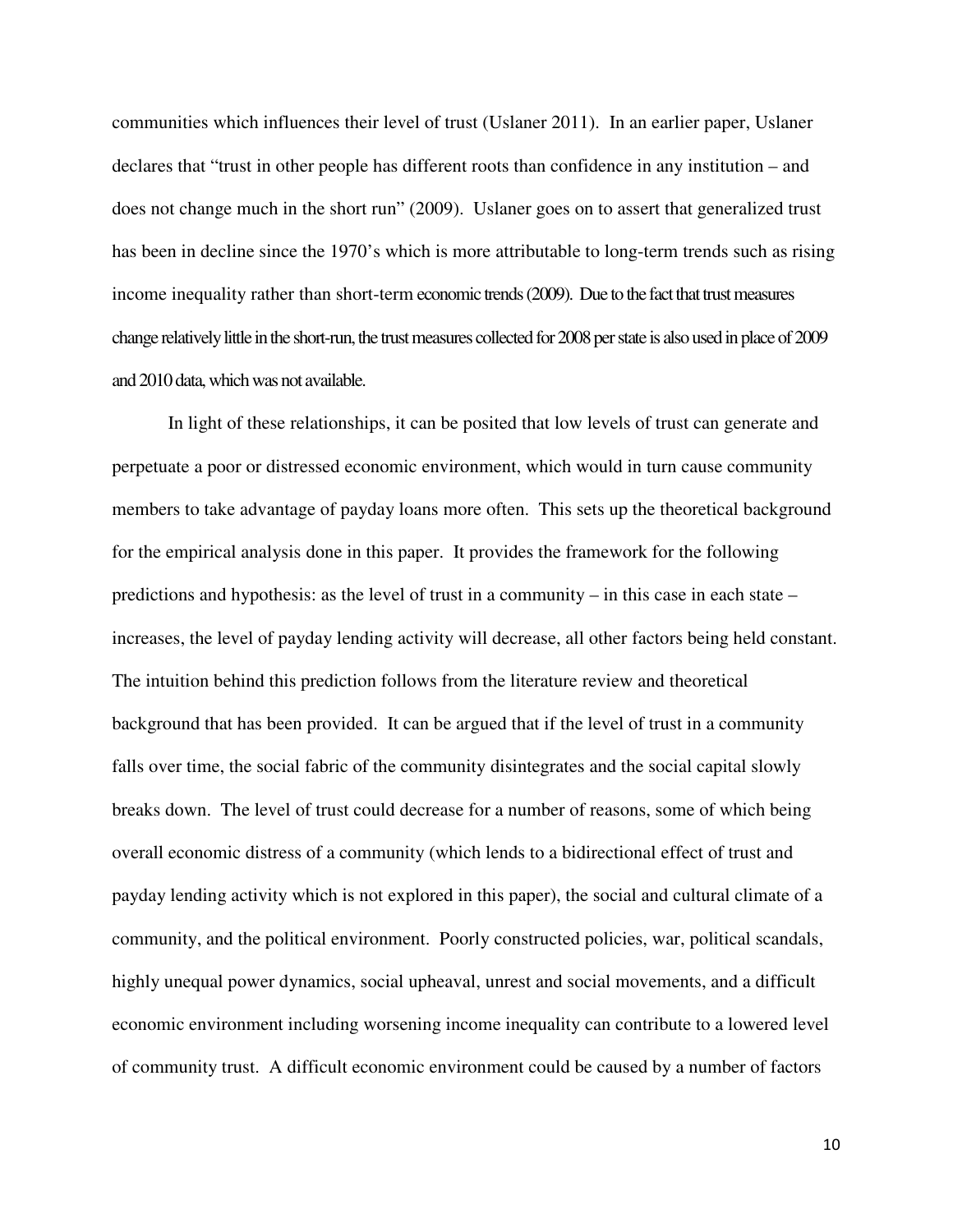communities which influences their level of trust (Uslaner 2011). In an earlier paper, Uslaner declares that "trust in other people has different roots than confidence in any institution – and does not change much in the short run" (2009). Uslaner goes on to assert that generalized trust has been in decline since the 1970's which is more attributable to long-term trends such as rising income inequality rather than short-term economic trends (2009). Due to the fact that trust measures change relatively little in the short-run, the trust measures collected for 2008 per state is also used in place of 2009 and 2010 data, which was not available.

In light of these relationships, it can be posited that low levels of trust can generate and perpetuate a poor or distressed economic environment, which would in turn cause community members to take advantage of payday loans more often. This sets up the theoretical background for the empirical analysis done in this paper. It provides the framework for the following predictions and hypothesis: as the level of trust in a community – in this case in each state – increases, the level of payday lending activity will decrease, all other factors being held constant. The intuition behind this prediction follows from the literature review and theoretical background that has been provided. It can be argued that if the level of trust in a community falls over time, the social fabric of the community disintegrates and the social capital slowly breaks down. The level of trust could decrease for a number of reasons, some of which being overall economic distress of a community (which lends to a bidirectional effect of trust and payday lending activity which is not explored in this paper), the social and cultural climate of a community, and the political environment. Poorly constructed policies, war, political scandals, highly unequal power dynamics, social upheaval, unrest and social movements, and a difficult economic environment including worsening income inequality can contribute to a lowered level of community trust. A difficult economic environment could be caused by a number of factors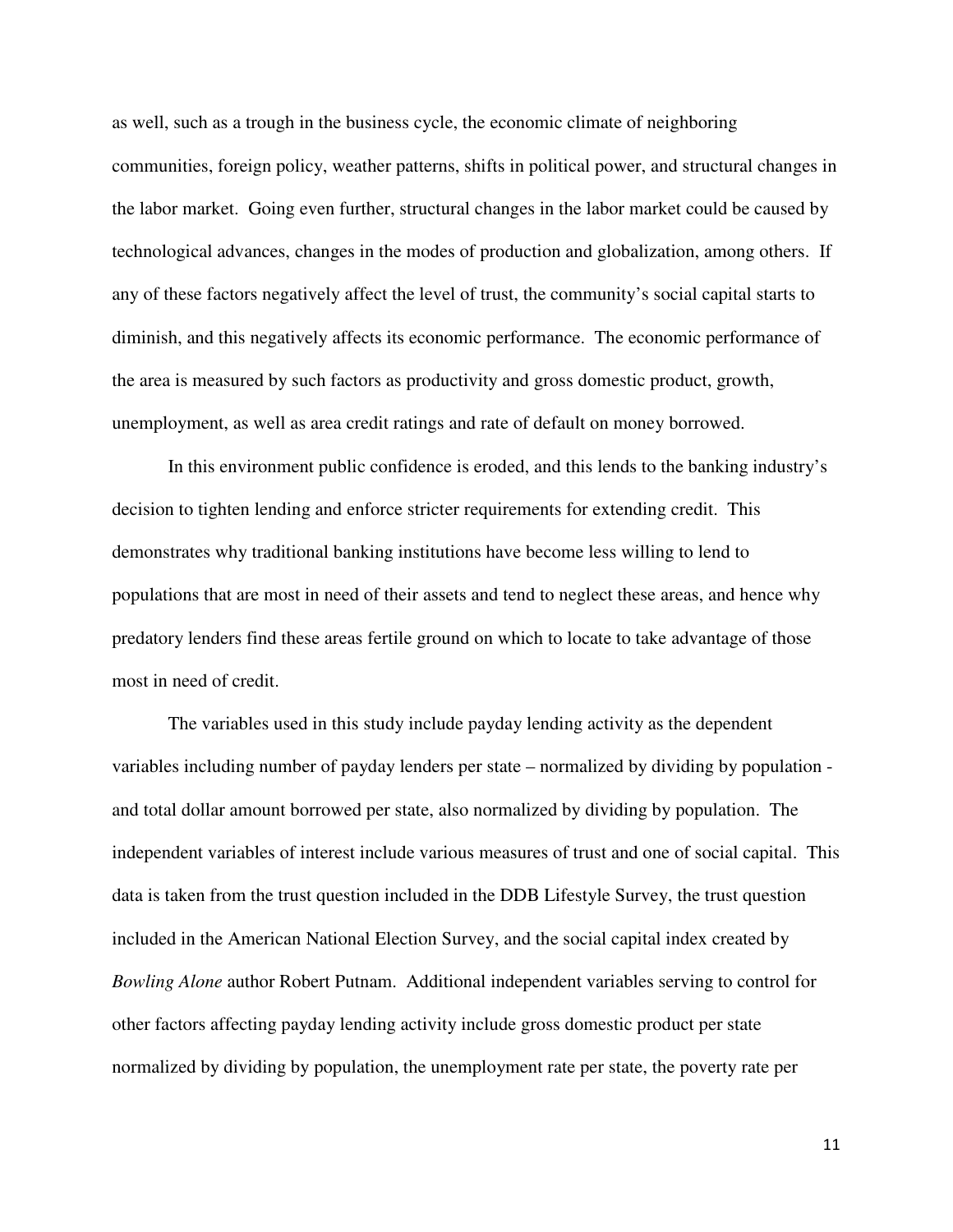as well, such as a trough in the business cycle, the economic climate of neighboring communities, foreign policy, weather patterns, shifts in political power, and structural changes in the labor market. Going even further, structural changes in the labor market could be caused by technological advances, changes in the modes of production and globalization, among others. If any of these factors negatively affect the level of trust, the community's social capital starts to diminish, and this negatively affects its economic performance. The economic performance of the area is measured by such factors as productivity and gross domestic product, growth, unemployment, as well as area credit ratings and rate of default on money borrowed.

In this environment public confidence is eroded, and this lends to the banking industry's decision to tighten lending and enforce stricter requirements for extending credit. This demonstrates why traditional banking institutions have become less willing to lend to populations that are most in need of their assets and tend to neglect these areas, and hence why predatory lenders find these areas fertile ground on which to locate to take advantage of those most in need of credit.

The variables used in this study include payday lending activity as the dependent variables including number of payday lenders per state – normalized by dividing by population and total dollar amount borrowed per state, also normalized by dividing by population. The independent variables of interest include various measures of trust and one of social capital. This data is taken from the trust question included in the DDB Lifestyle Survey, the trust question included in the American National Election Survey, and the social capital index created by *Bowling Alone* author Robert Putnam. Additional independent variables serving to control for other factors affecting payday lending activity include gross domestic product per state normalized by dividing by population, the unemployment rate per state, the poverty rate per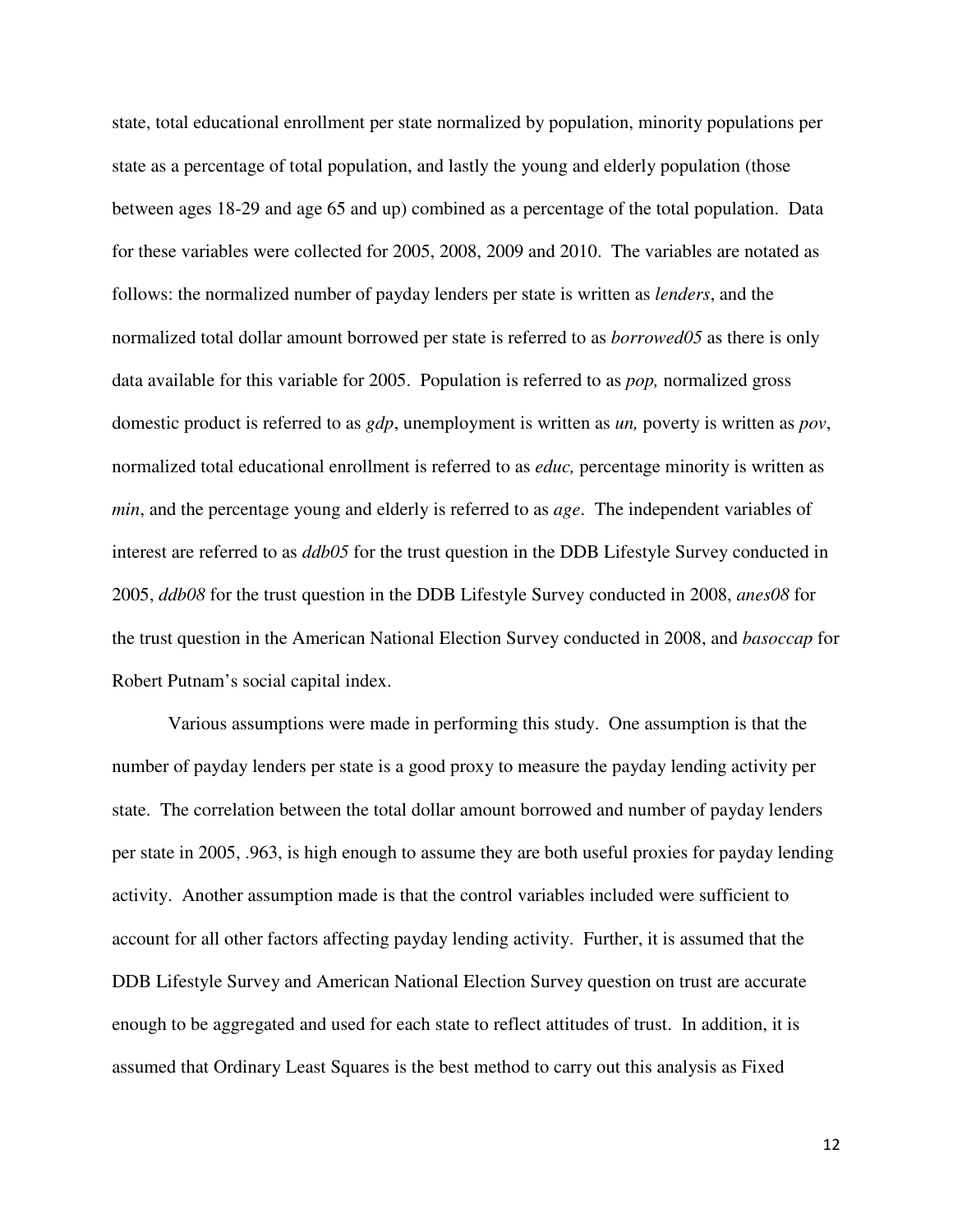state, total educational enrollment per state normalized by population, minority populations per state as a percentage of total population, and lastly the young and elderly population (those between ages 18-29 and age 65 and up) combined as a percentage of the total population. Data for these variables were collected for 2005, 2008, 2009 and 2010. The variables are notated as follows: the normalized number of payday lenders per state is written as *lenders*, and the normalized total dollar amount borrowed per state is referred to as *borrowed05* as there is only data available for this variable for 2005. Population is referred to as *pop,* normalized gross domestic product is referred to as *gdp*, unemployment is written as *un,* poverty is written as *pov*, normalized total educational enrollment is referred to as *educ,* percentage minority is written as *min*, and the percentage young and elderly is referred to as *age*. The independent variables of interest are referred to as *ddb05* for the trust question in the DDB Lifestyle Survey conducted in 2005, *ddb08* for the trust question in the DDB Lifestyle Survey conducted in 2008, *anes08* for the trust question in the American National Election Survey conducted in 2008, and *basoccap* for Robert Putnam's social capital index.

Various assumptions were made in performing this study. One assumption is that the number of payday lenders per state is a good proxy to measure the payday lending activity per state. The correlation between the total dollar amount borrowed and number of payday lenders per state in 2005, .963, is high enough to assume they are both useful proxies for payday lending activity. Another assumption made is that the control variables included were sufficient to account for all other factors affecting payday lending activity. Further, it is assumed that the DDB Lifestyle Survey and American National Election Survey question on trust are accurate enough to be aggregated and used for each state to reflect attitudes of trust. In addition, it is assumed that Ordinary Least Squares is the best method to carry out this analysis as Fixed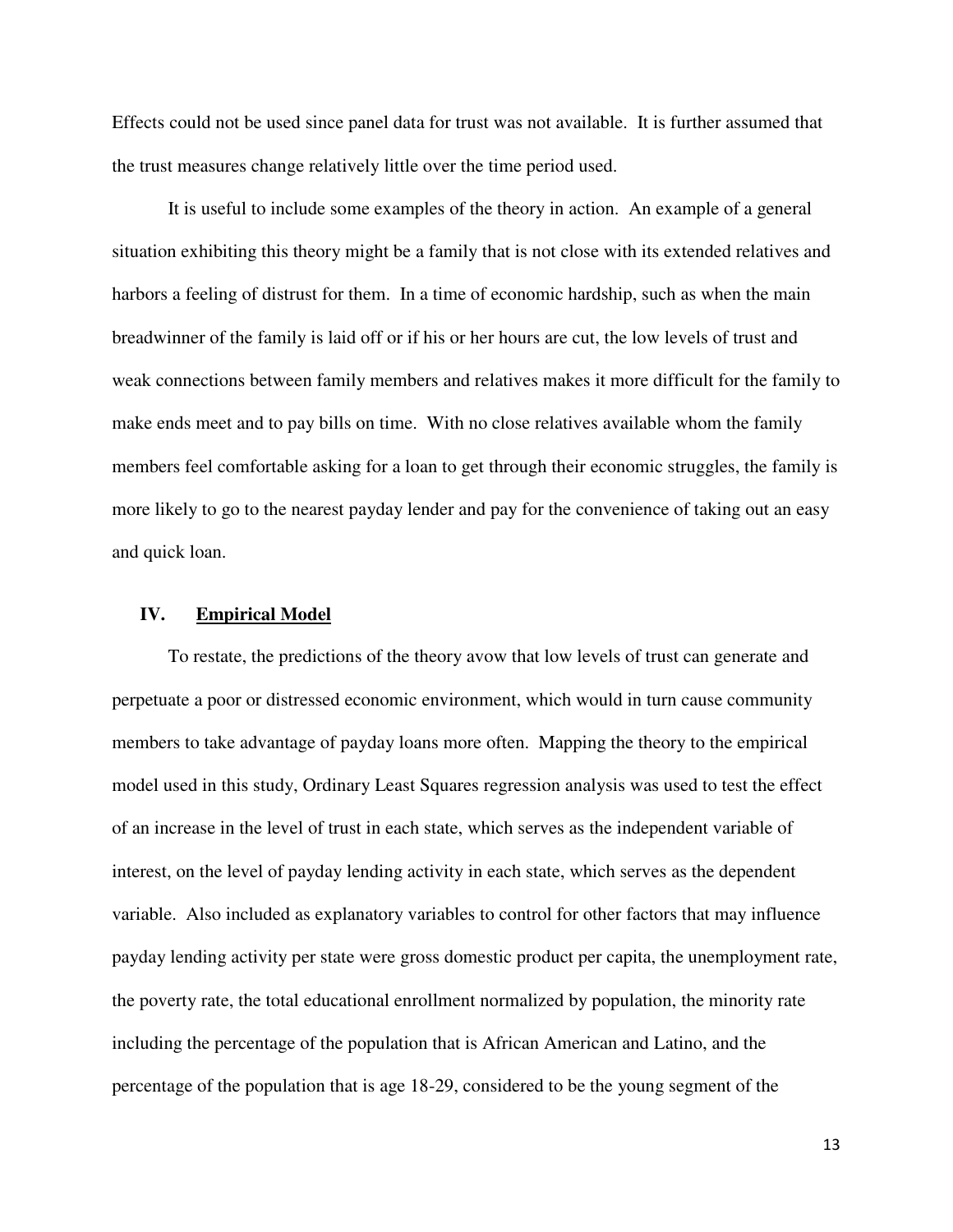Effects could not be used since panel data for trust was not available. It is further assumed that the trust measures change relatively little over the time period used.

It is useful to include some examples of the theory in action. An example of a general situation exhibiting this theory might be a family that is not close with its extended relatives and harbors a feeling of distrust for them. In a time of economic hardship, such as when the main breadwinner of the family is laid off or if his or her hours are cut, the low levels of trust and weak connections between family members and relatives makes it more difficult for the family to make ends meet and to pay bills on time. With no close relatives available whom the family members feel comfortable asking for a loan to get through their economic struggles, the family is more likely to go to the nearest payday lender and pay for the convenience of taking out an easy and quick loan.

### **IV. Empirical Model**

To restate, the predictions of the theory avow that low levels of trust can generate and perpetuate a poor or distressed economic environment, which would in turn cause community members to take advantage of payday loans more often. Mapping the theory to the empirical model used in this study, Ordinary Least Squares regression analysis was used to test the effect of an increase in the level of trust in each state, which serves as the independent variable of interest, on the level of payday lending activity in each state, which serves as the dependent variable. Also included as explanatory variables to control for other factors that may influence payday lending activity per state were gross domestic product per capita, the unemployment rate, the poverty rate, the total educational enrollment normalized by population, the minority rate including the percentage of the population that is African American and Latino, and the percentage of the population that is age 18-29, considered to be the young segment of the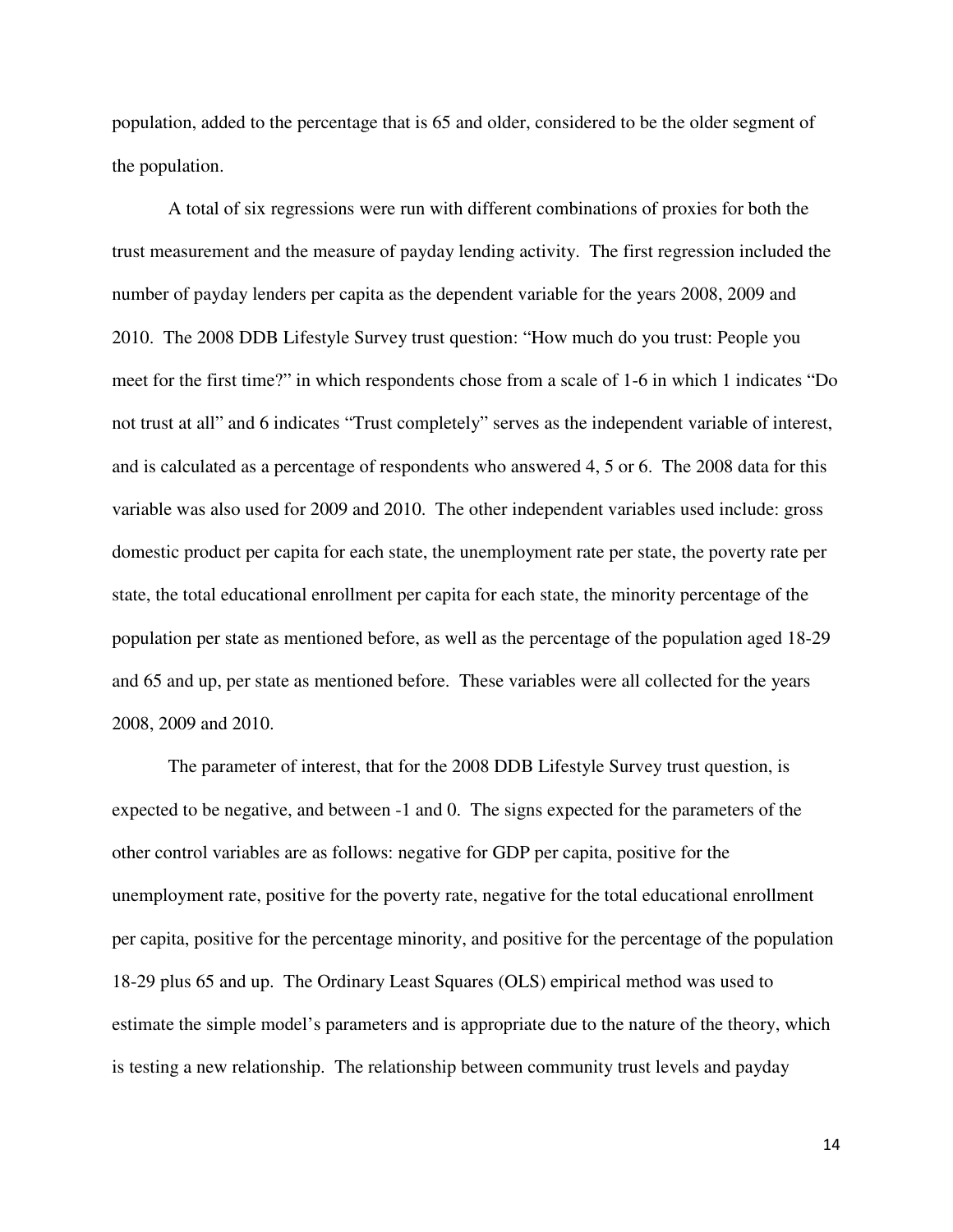population, added to the percentage that is 65 and older, considered to be the older segment of the population.

A total of six regressions were run with different combinations of proxies for both the trust measurement and the measure of payday lending activity. The first regression included the number of payday lenders per capita as the dependent variable for the years 2008, 2009 and 2010. The 2008 DDB Lifestyle Survey trust question: "How much do you trust: People you meet for the first time?" in which respondents chose from a scale of 1-6 in which 1 indicates "Do not trust at all" and 6 indicates "Trust completely" serves as the independent variable of interest, and is calculated as a percentage of respondents who answered 4, 5 or 6. The 2008 data for this variable was also used for 2009 and 2010. The other independent variables used include: gross domestic product per capita for each state, the unemployment rate per state, the poverty rate per state, the total educational enrollment per capita for each state, the minority percentage of the population per state as mentioned before, as well as the percentage of the population aged 18-29 and 65 and up, per state as mentioned before. These variables were all collected for the years 2008, 2009 and 2010.

The parameter of interest, that for the 2008 DDB Lifestyle Survey trust question, is expected to be negative, and between -1 and 0. The signs expected for the parameters of the other control variables are as follows: negative for GDP per capita, positive for the unemployment rate, positive for the poverty rate, negative for the total educational enrollment per capita, positive for the percentage minority, and positive for the percentage of the population 18-29 plus 65 and up. The Ordinary Least Squares (OLS) empirical method was used to estimate the simple model's parameters and is appropriate due to the nature of the theory, which is testing a new relationship. The relationship between community trust levels and payday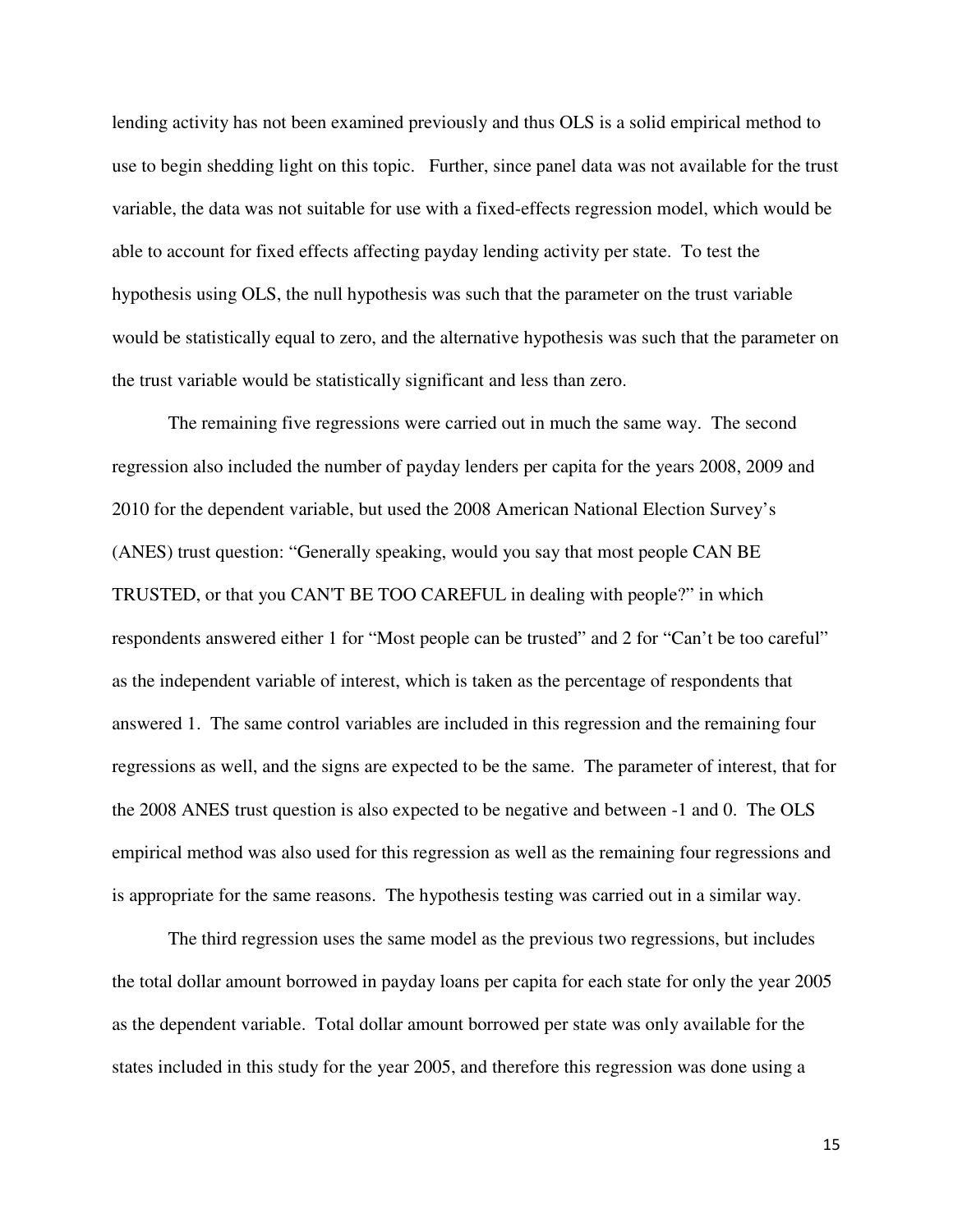lending activity has not been examined previously and thus OLS is a solid empirical method to use to begin shedding light on this topic. Further, since panel data was not available for the trust variable, the data was not suitable for use with a fixed-effects regression model, which would be able to account for fixed effects affecting payday lending activity per state. To test the hypothesis using OLS, the null hypothesis was such that the parameter on the trust variable would be statistically equal to zero, and the alternative hypothesis was such that the parameter on the trust variable would be statistically significant and less than zero.

The remaining five regressions were carried out in much the same way. The second regression also included the number of payday lenders per capita for the years 2008, 2009 and 2010 for the dependent variable, but used the 2008 American National Election Survey's (ANES) trust question: "Generally speaking, would you say that most people CAN BE TRUSTED, or that you CAN'T BE TOO CAREFUL in dealing with people?" in which respondents answered either 1 for "Most people can be trusted" and 2 for "Can't be too careful" as the independent variable of interest, which is taken as the percentage of respondents that answered 1. The same control variables are included in this regression and the remaining four regressions as well, and the signs are expected to be the same. The parameter of interest, that for the 2008 ANES trust question is also expected to be negative and between -1 and 0. The OLS empirical method was also used for this regression as well as the remaining four regressions and is appropriate for the same reasons. The hypothesis testing was carried out in a similar way.

The third regression uses the same model as the previous two regressions, but includes the total dollar amount borrowed in payday loans per capita for each state for only the year 2005 as the dependent variable. Total dollar amount borrowed per state was only available for the states included in this study for the year 2005, and therefore this regression was done using a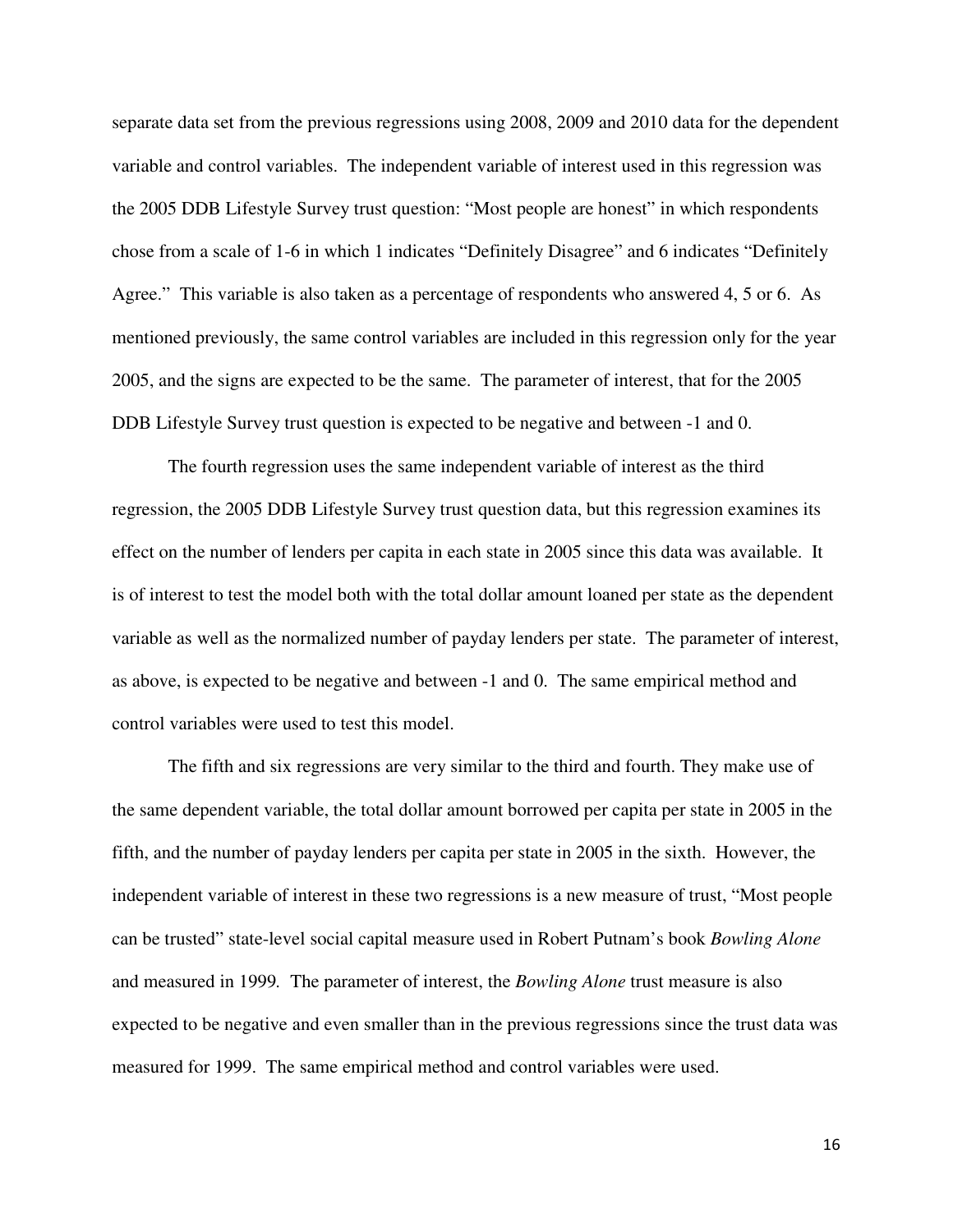separate data set from the previous regressions using 2008, 2009 and 2010 data for the dependent variable and control variables. The independent variable of interest used in this regression was the 2005 DDB Lifestyle Survey trust question: "Most people are honest" in which respondents chose from a scale of 1-6 in which 1 indicates "Definitely Disagree" and 6 indicates "Definitely Agree." This variable is also taken as a percentage of respondents who answered 4, 5 or 6. As mentioned previously, the same control variables are included in this regression only for the year 2005, and the signs are expected to be the same. The parameter of interest, that for the 2005 DDB Lifestyle Survey trust question is expected to be negative and between -1 and 0.

The fourth regression uses the same independent variable of interest as the third regression, the 2005 DDB Lifestyle Survey trust question data, but this regression examines its effect on the number of lenders per capita in each state in 2005 since this data was available. It is of interest to test the model both with the total dollar amount loaned per state as the dependent variable as well as the normalized number of payday lenders per state. The parameter of interest, as above, is expected to be negative and between -1 and 0. The same empirical method and control variables were used to test this model.

The fifth and six regressions are very similar to the third and fourth. They make use of the same dependent variable, the total dollar amount borrowed per capita per state in 2005 in the fifth, and the number of payday lenders per capita per state in 2005 in the sixth. However, the independent variable of interest in these two regressions is a new measure of trust, "Most people can be trusted" state-level social capital measure used in Robert Putnam's book *Bowling Alone*  and measured in 1999*.* The parameter of interest, the *Bowling Alone* trust measure is also expected to be negative and even smaller than in the previous regressions since the trust data was measured for 1999. The same empirical method and control variables were used.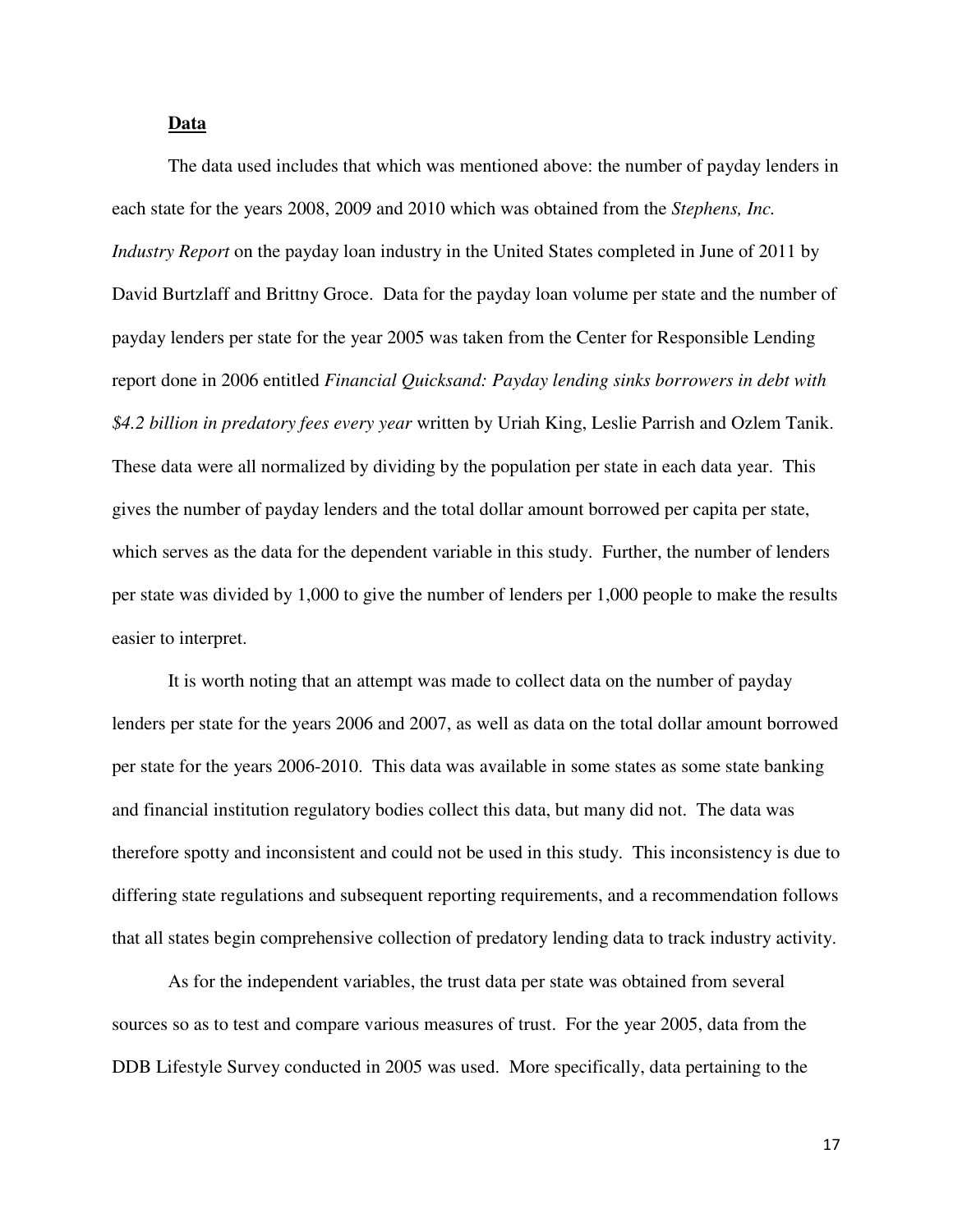# **Data**

The data used includes that which was mentioned above: the number of payday lenders in each state for the years 2008, 2009 and 2010 which was obtained from the *Stephens, Inc. Industry Report* on the payday loan industry in the United States completed in June of 2011 by David Burtzlaff and Brittny Groce. Data for the payday loan volume per state and the number of payday lenders per state for the year 2005 was taken from the Center for Responsible Lending report done in 2006 entitled *Financial Quicksand: Payday lending sinks borrowers in debt with \$4.2 billion in predatory fees every year* written by Uriah King, Leslie Parrish and Ozlem Tanik. These data were all normalized by dividing by the population per state in each data year. This gives the number of payday lenders and the total dollar amount borrowed per capita per state, which serves as the data for the dependent variable in this study. Further, the number of lenders per state was divided by 1,000 to give the number of lenders per 1,000 people to make the results easier to interpret.

It is worth noting that an attempt was made to collect data on the number of payday lenders per state for the years 2006 and 2007, as well as data on the total dollar amount borrowed per state for the years 2006-2010. This data was available in some states as some state banking and financial institution regulatory bodies collect this data, but many did not. The data was therefore spotty and inconsistent and could not be used in this study. This inconsistency is due to differing state regulations and subsequent reporting requirements, and a recommendation follows that all states begin comprehensive collection of predatory lending data to track industry activity.

As for the independent variables, the trust data per state was obtained from several sources so as to test and compare various measures of trust. For the year 2005, data from the DDB Lifestyle Survey conducted in 2005 was used. More specifically, data pertaining to the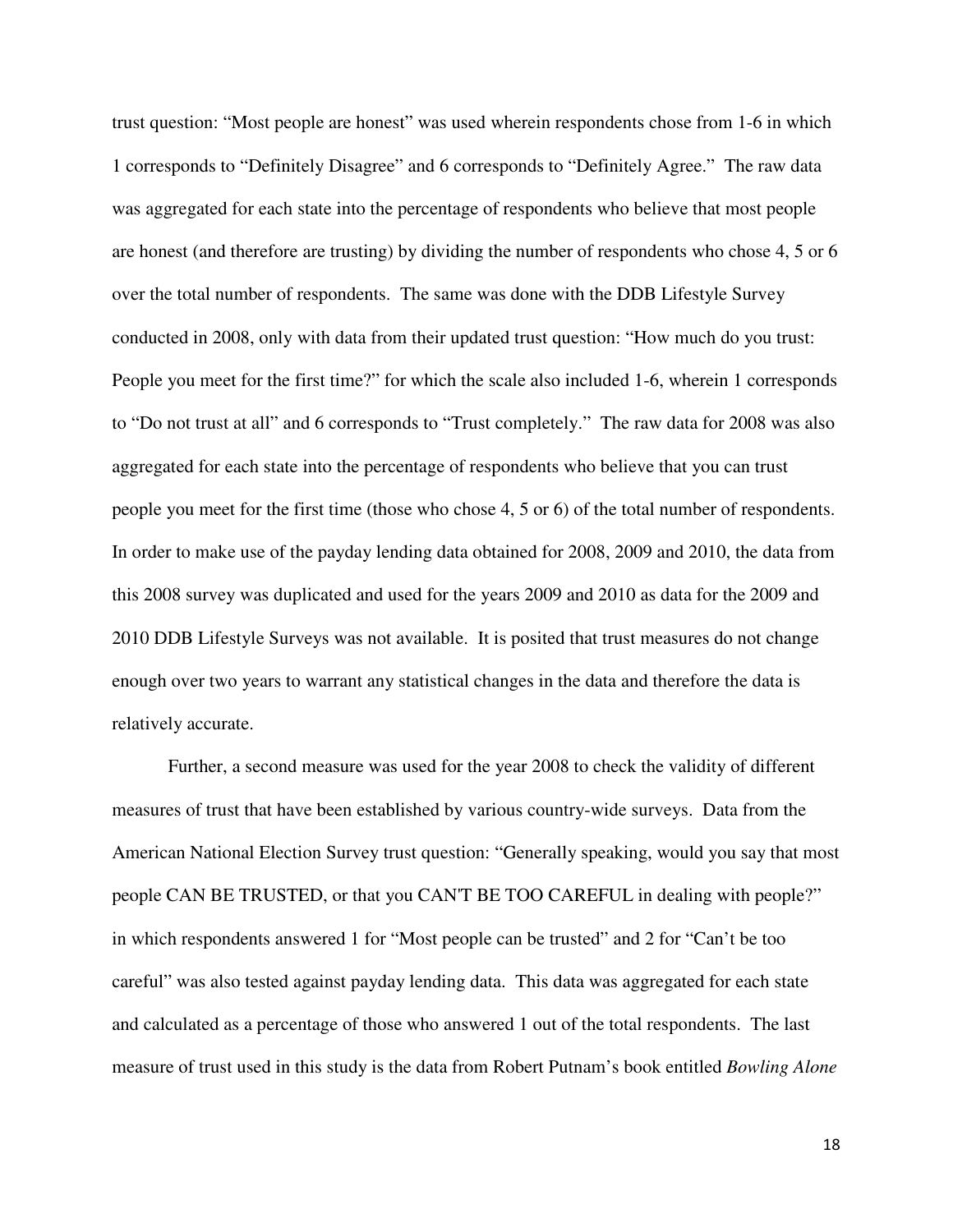trust question: "Most people are honest" was used wherein respondents chose from 1-6 in which 1 corresponds to "Definitely Disagree" and 6 corresponds to "Definitely Agree." The raw data was aggregated for each state into the percentage of respondents who believe that most people are honest (and therefore are trusting) by dividing the number of respondents who chose 4, 5 or 6 over the total number of respondents. The same was done with the DDB Lifestyle Survey conducted in 2008, only with data from their updated trust question: "How much do you trust: People you meet for the first time?" for which the scale also included 1-6, wherein 1 corresponds to "Do not trust at all" and 6 corresponds to "Trust completely." The raw data for 2008 was also aggregated for each state into the percentage of respondents who believe that you can trust people you meet for the first time (those who chose 4, 5 or 6) of the total number of respondents. In order to make use of the payday lending data obtained for 2008, 2009 and 2010, the data from this 2008 survey was duplicated and used for the years 2009 and 2010 as data for the 2009 and 2010 DDB Lifestyle Surveys was not available. It is posited that trust measures do not change enough over two years to warrant any statistical changes in the data and therefore the data is relatively accurate.

Further, a second measure was used for the year 2008 to check the validity of different measures of trust that have been established by various country-wide surveys. Data from the American National Election Survey trust question: "Generally speaking, would you say that most people CAN BE TRUSTED, or that you CAN'T BE TOO CAREFUL in dealing with people?" in which respondents answered 1 for "Most people can be trusted" and 2 for "Can't be too careful" was also tested against payday lending data. This data was aggregated for each state and calculated as a percentage of those who answered 1 out of the total respondents. The last measure of trust used in this study is the data from Robert Putnam's book entitled *Bowling Alone*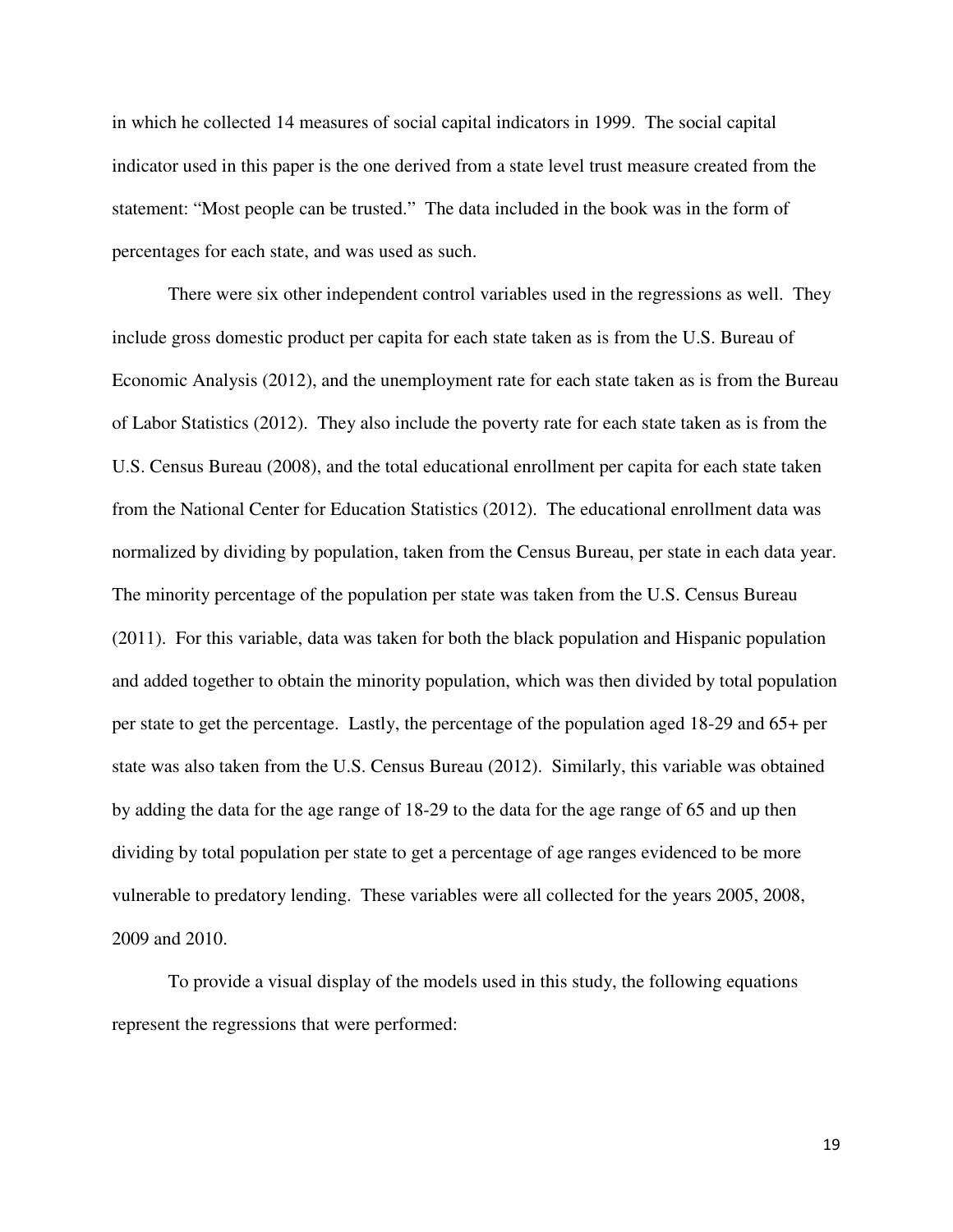in which he collected 14 measures of social capital indicators in 1999. The social capital indicator used in this paper is the one derived from a state level trust measure created from the statement: "Most people can be trusted." The data included in the book was in the form of percentages for each state, and was used as such.

There were six other independent control variables used in the regressions as well. They include gross domestic product per capita for each state taken as is from the U.S. Bureau of Economic Analysis (2012), and the unemployment rate for each state taken as is from the Bureau of Labor Statistics (2012). They also include the poverty rate for each state taken as is from the U.S. Census Bureau (2008), and the total educational enrollment per capita for each state taken from the National Center for Education Statistics (2012). The educational enrollment data was normalized by dividing by population, taken from the Census Bureau, per state in each data year. The minority percentage of the population per state was taken from the U.S. Census Bureau (2011). For this variable, data was taken for both the black population and Hispanic population and added together to obtain the minority population, which was then divided by total population per state to get the percentage. Lastly, the percentage of the population aged 18-29 and 65+ per state was also taken from the U.S. Census Bureau (2012). Similarly, this variable was obtained by adding the data for the age range of 18-29 to the data for the age range of 65 and up then dividing by total population per state to get a percentage of age ranges evidenced to be more vulnerable to predatory lending. These variables were all collected for the years 2005, 2008, 2009 and 2010.

To provide a visual display of the models used in this study, the following equations represent the regressions that were performed: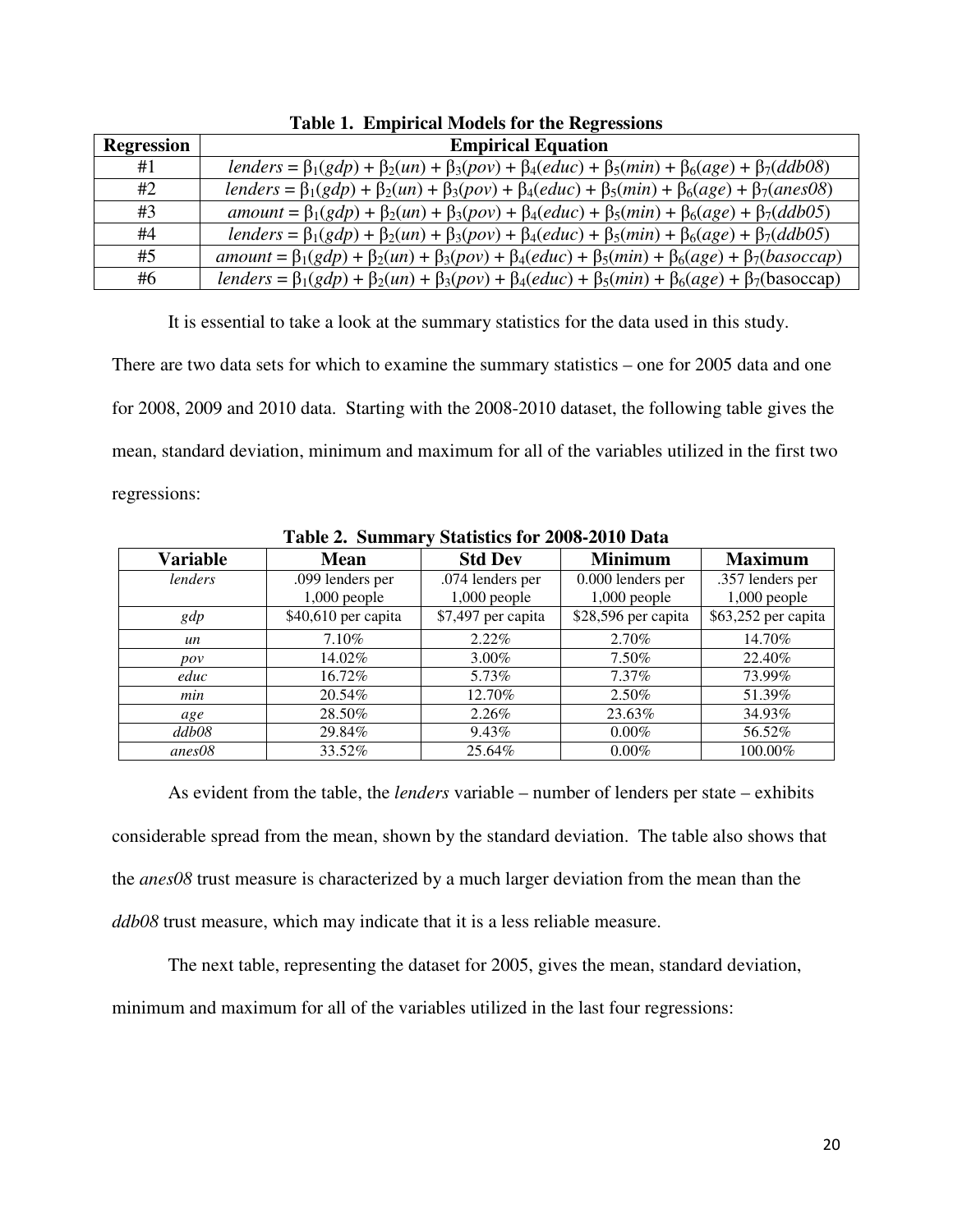| <b>Regression</b> | <b>Empirical Equation</b>                                                                                               |
|-------------------|-------------------------------------------------------------------------------------------------------------------------|
| #1                | lenders = $\beta_1(gdp) + \beta_2(un) + \beta_3(pov) + \beta_4(educ) + \beta_5(min) + \beta_6(age) + \beta_7(ddb08)$    |
| #2                | lenders = $\beta_1(gdp) + \beta_2(un) + \beta_3(pov) + \beta_4(educ) + \beta_5(min) + \beta_6(age) + \beta_7(anes08)$   |
| #3                | amount = $\beta_1(gdp) + \beta_2(un) + \beta_3(pov) + \beta_4(educ) + \beta_5(min) + \beta_6(age) + \beta_7(ddb05)$     |
| #4                | lenders = $\beta_1(gdp) + \beta_2(un) + \beta_3(pov) + \beta_4(educ) + \beta_5(min) + \beta_6(age) + \beta_7(ddb05)$    |
| #5                | $amount = \beta_1(gdp) + \beta_2(un) + \beta_3(pov) + \beta_4(educ) + \beta_5(min) + \beta_6(age) + \beta_7(basoccap)$  |
| #6                | lenders = $\beta_1(gdp) + \beta_2(un) + \beta_3(pov) + \beta_4(educ) + \beta_5(min) + \beta_6(age) + \beta_7(basoccap)$ |

**Table 1. Empirical Models for the Regressions** 

It is essential to take a look at the summary statistics for the data used in this study.

There are two data sets for which to examine the summary statistics – one for 2005 data and one for 2008, 2009 and 2010 data. Starting with the 2008-2010 dataset, the following table gives the mean, standard deviation, minimum and maximum for all of the variables utilized in the first two regressions:

| <b>Variable</b> | <b>Mean</b>         | <b>Std Dev</b>     | <b>Minimum</b>      | <b>Maximum</b>      |
|-----------------|---------------------|--------------------|---------------------|---------------------|
| lenders         | .099 lenders per    | .074 lenders per   | 0.000 lenders per   | .357 lenders per    |
|                 | $1,000$ people      | $1,000$ people     | $1,000$ people      | $1,000$ people      |
| gdp             | \$40,610 per capita | \$7,497 per capita | \$28,596 per capita | \$63,252 per capita |
| un              | 7.10%               | $2.22\%$           | 2.70%               | 14.70%              |
| pov             | 14.02%              | $3.00\%$           | 7.50%               | 22.40%              |
| educ            | 16.72%              | 5.73%              | $7.37\%$            | 73.99%              |
| min             | 20.54%              | 12.70%             | $2.50\%$            | 51.39%              |
| age             | 28.50%              | $2.26\%$           | 23.63%              | 34.93%              |
| ddb08           | 29.84%              | $9.43\%$           | $0.00\%$            | 56.52%              |
| anes08          | 33.52%              | 25.64%             | $0.00\%$            | 100.00%             |

**Table 2. Summary Statistics for 2008-2010 Data** 

As evident from the table, the *lenders* variable – number of lenders per state – exhibits considerable spread from the mean, shown by the standard deviation. The table also shows that the *anes08* trust measure is characterized by a much larger deviation from the mean than the *ddb08* trust measure, which may indicate that it is a less reliable measure.

The next table, representing the dataset for 2005, gives the mean, standard deviation, minimum and maximum for all of the variables utilized in the last four regressions: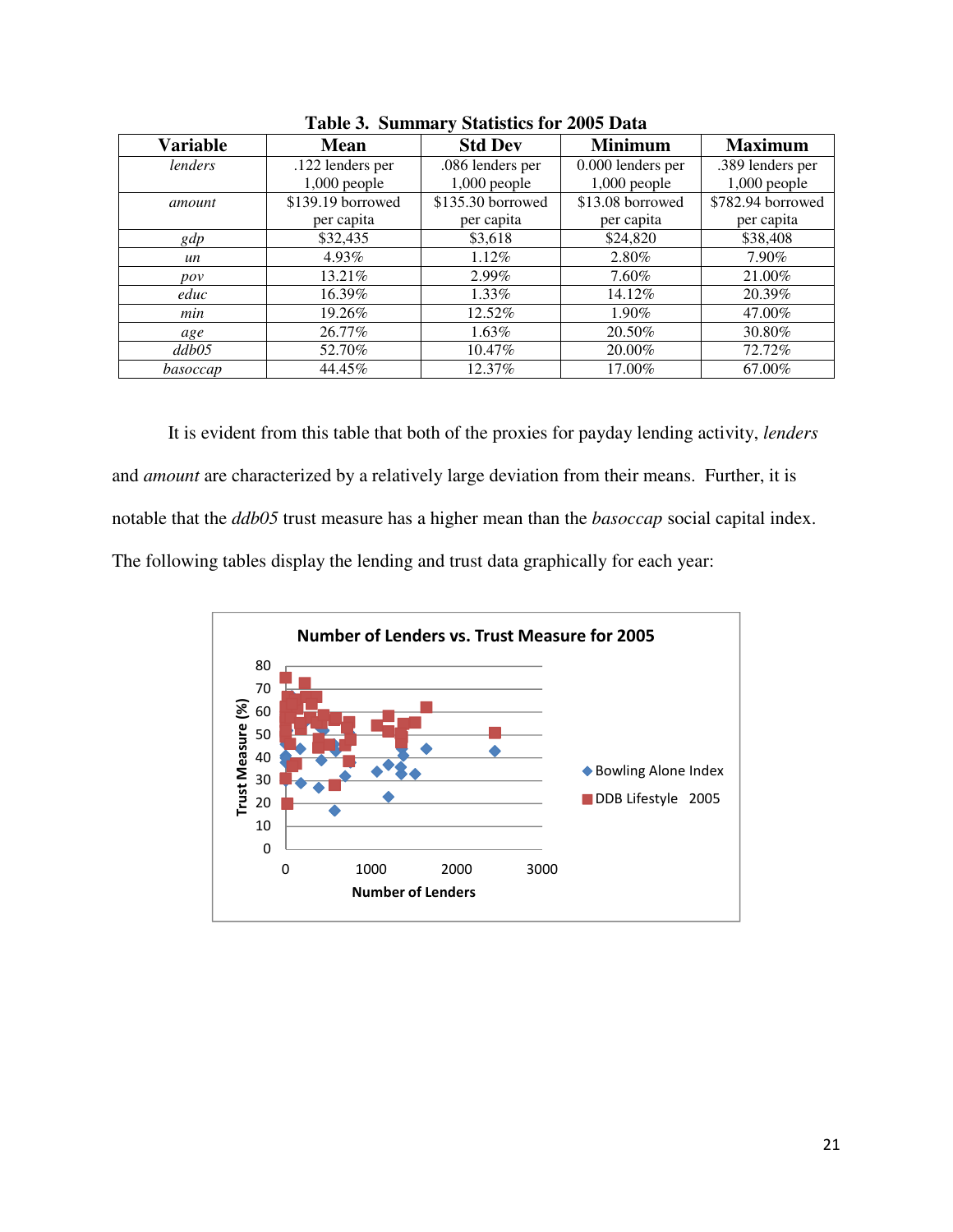| <b>Variable</b> | <b>Mean</b>       | <b>Std Dev</b>    | <b>Minimum</b>    | <b>Maximum</b>    |
|-----------------|-------------------|-------------------|-------------------|-------------------|
| lenders         | .122 lenders per  | .086 lenders per  | 0.000 lenders per | .389 lenders per  |
|                 | $1,000$ people    | $1,000$ people    | $1,000$ people    | $1,000$ people    |
| amount          | \$139.19 borrowed | \$135.30 borrowed | \$13.08 borrowed  | \$782.94 borrowed |
|                 | per capita        | per capita        | per capita        | per capita        |
| gdp             | \$32,435          | \$3,618           | \$24,820          | \$38,408          |
| un              | 4.93%             | 1.12%             | 2.80%             | 7.90%             |
| pov             | 13.21\%           | 2.99%             | 7.60%             | 21.00%            |
| educ            | 16.39%            | 1.33%             | 14.12%            | 20.39%            |
| min             | 19.26%            | 12.52%            | 1.90%             | 47.00%            |
| age             | 26.77%            | 1.63%             | 20.50%            | 30.80%            |
| ddb05           | 52.70%            | 10.47%            | 20.00%            | 72.72%            |
| basoccap        | 44.45%            | 12.37%            | 17.00%            | 67.00%            |

**Table 3. Summary Statistics for 2005 Data** 

It is evident from this table that both of the proxies for payday lending activity, *lenders* and *amount* are characterized by a relatively large deviation from their means. Further, it is notable that the *ddb05* trust measure has a higher mean than the *basoccap* social capital index. The following tables display the lending and trust data graphically for each year:

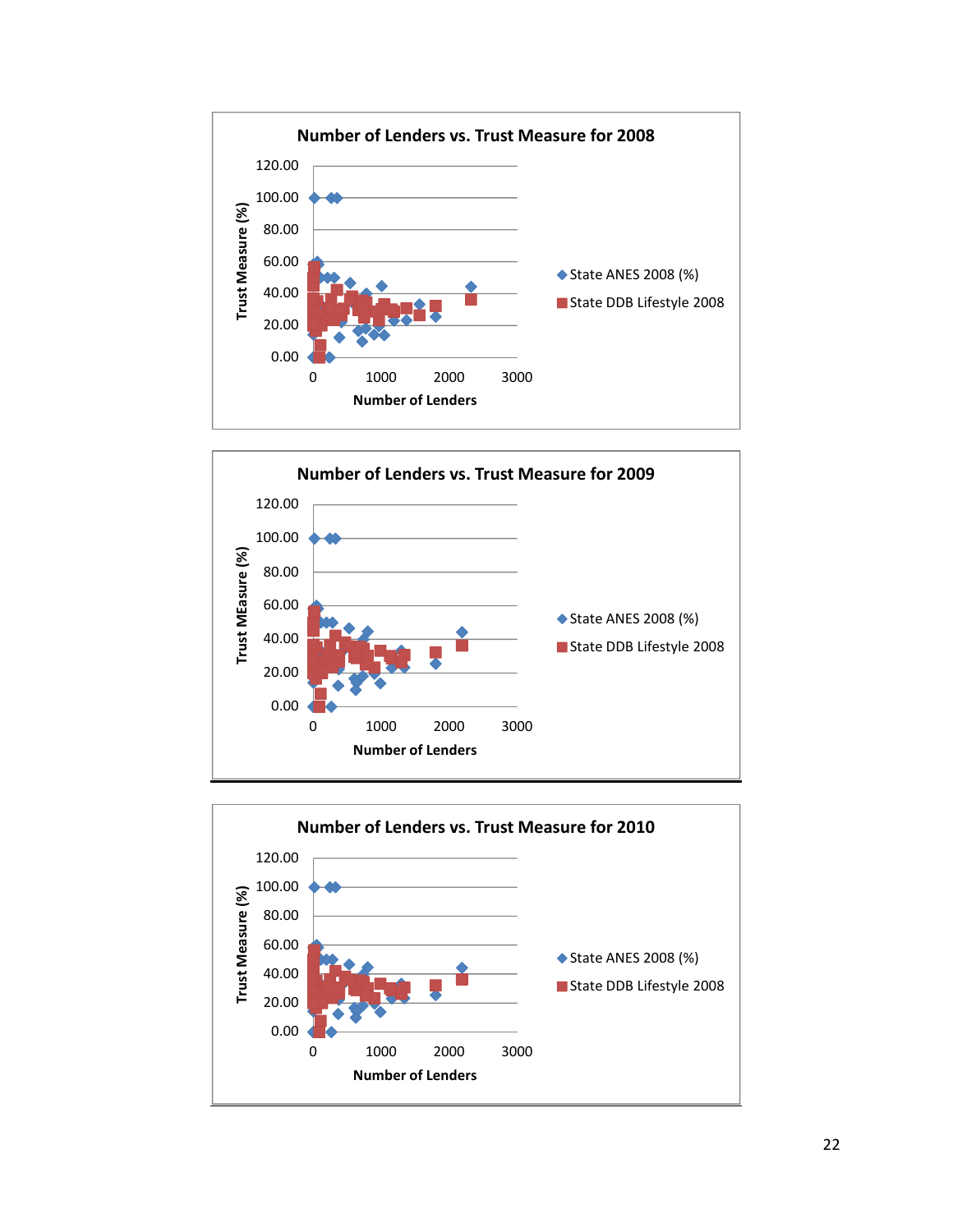



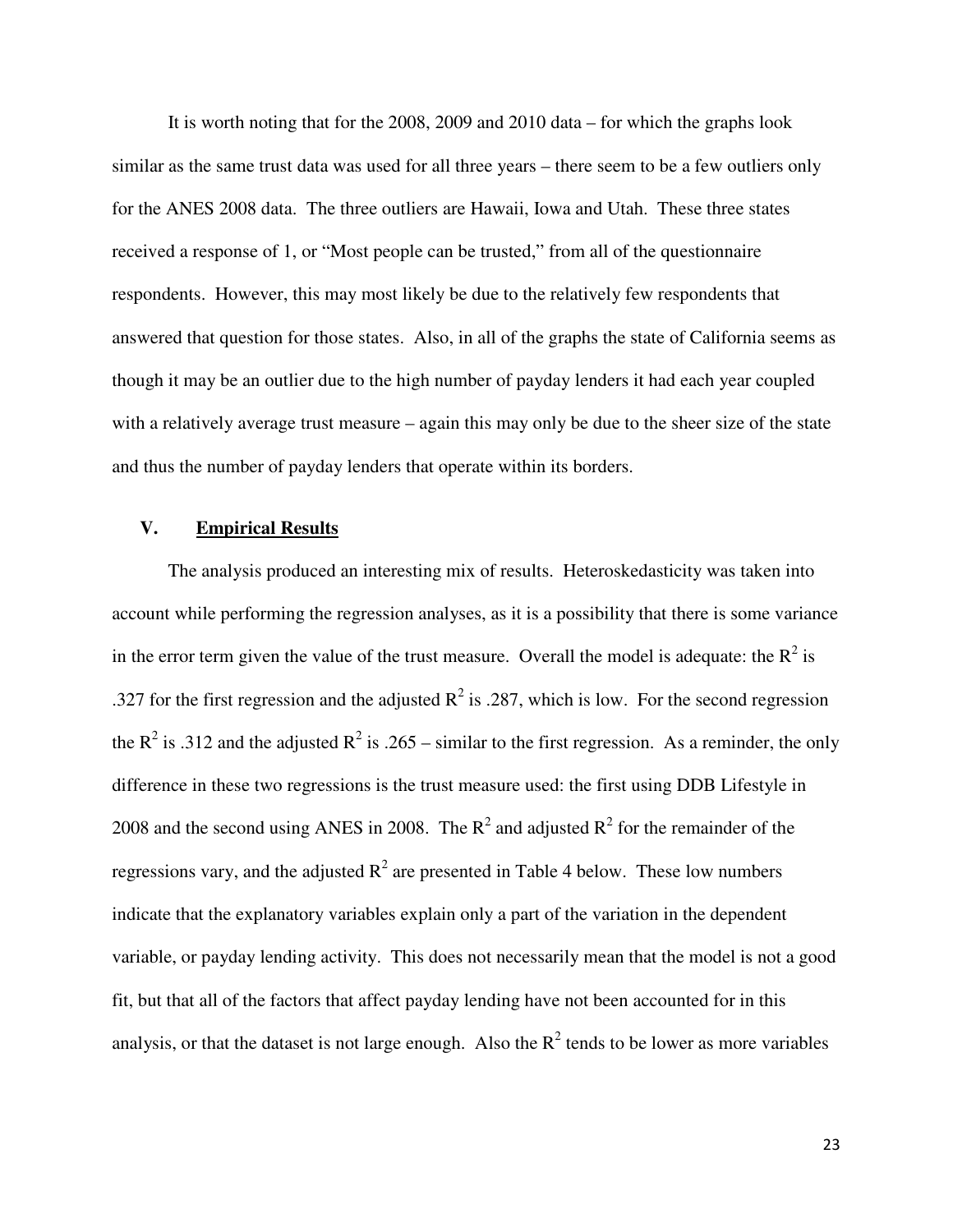It is worth noting that for the 2008, 2009 and 2010 data – for which the graphs look similar as the same trust data was used for all three years – there seem to be a few outliers only for the ANES 2008 data. The three outliers are Hawaii, Iowa and Utah. These three states received a response of 1, or "Most people can be trusted," from all of the questionnaire respondents. However, this may most likely be due to the relatively few respondents that answered that question for those states. Also, in all of the graphs the state of California seems as though it may be an outlier due to the high number of payday lenders it had each year coupled with a relatively average trust measure – again this may only be due to the sheer size of the state and thus the number of payday lenders that operate within its borders.

#### **V. Empirical Results**

The analysis produced an interesting mix of results. Heteroskedasticity was taken into account while performing the regression analyses, as it is a possibility that there is some variance in the error term given the value of the trust measure. Overall the model is adequate: the  $R^2$  is .327 for the first regression and the adjusted  $R^2$  is .287, which is low. For the second regression the R<sup>2</sup> is .312 and the adjusted R<sup>2</sup> is .265 – similar to the first regression. As a reminder, the only difference in these two regressions is the trust measure used: the first using DDB Lifestyle in 2008 and the second using ANES in 2008. The  $R^2$  and adjusted  $R^2$  for the remainder of the regressions vary, and the adjusted  $R^2$  are presented in Table 4 below. These low numbers indicate that the explanatory variables explain only a part of the variation in the dependent variable, or payday lending activity. This does not necessarily mean that the model is not a good fit, but that all of the factors that affect payday lending have not been accounted for in this analysis, or that the dataset is not large enough. Also the  $R^2$  tends to be lower as more variables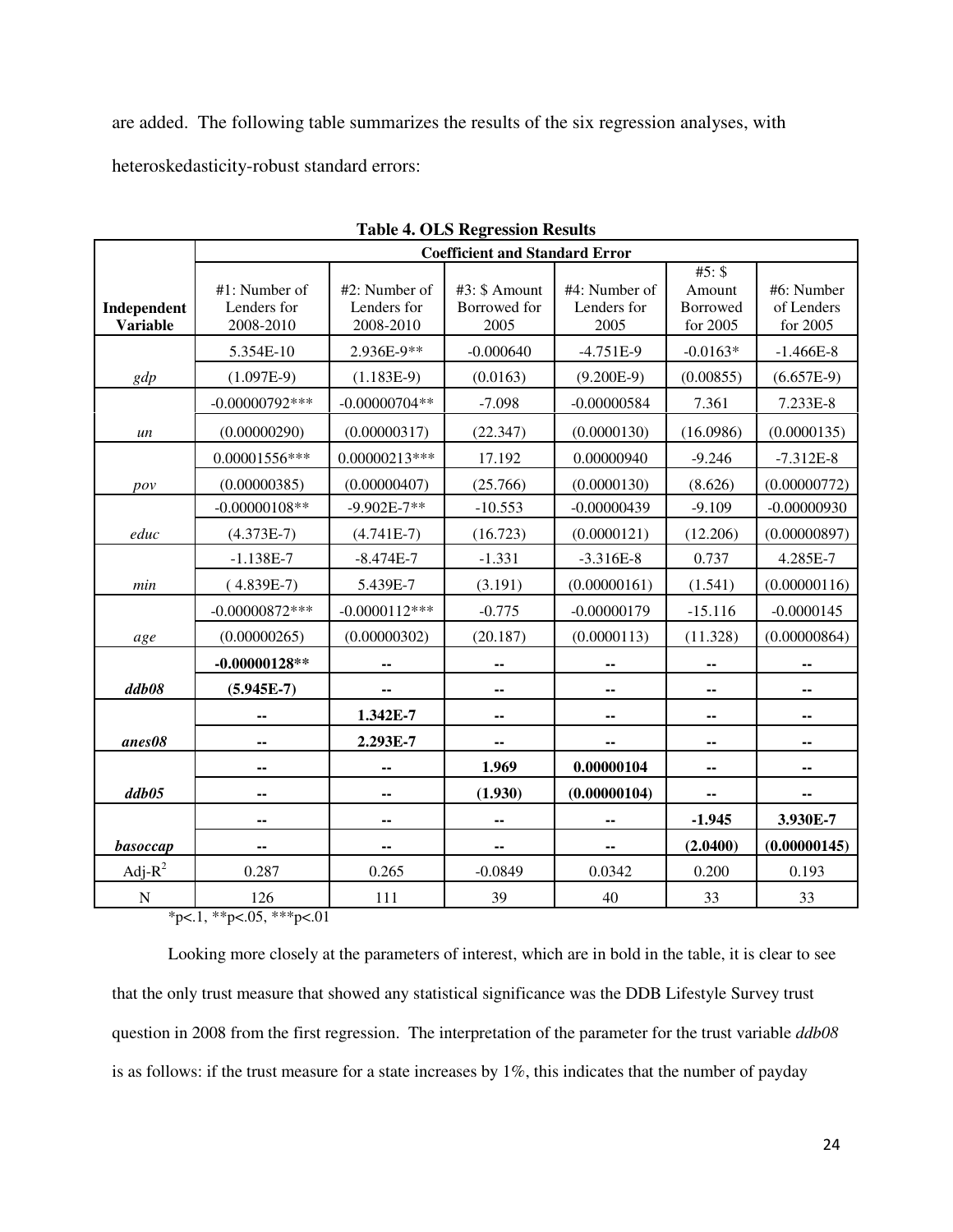are added. The following table summarizes the results of the six regression analyses, with heteroskedasticity-robust standard errors:

|                                | <b>Coefficient and Standard Error</b>     |                                           |                                       |                                      |                                            |                                      |
|--------------------------------|-------------------------------------------|-------------------------------------------|---------------------------------------|--------------------------------------|--------------------------------------------|--------------------------------------|
| Independent<br><b>Variable</b> | #1: Number of<br>Lenders for<br>2008-2010 | #2: Number of<br>Lenders for<br>2008-2010 | #3: \$ Amount<br>Borrowed for<br>2005 | #4: Number of<br>Lenders for<br>2005 | $#5:$ \$<br>Amount<br>Borrowed<br>for 2005 | #6: Number<br>of Lenders<br>for 2005 |
|                                | 5.354E-10                                 | 2.936E-9**                                | $-0.000640$                           | $-4.751E-9$                          | $-0.0163*$                                 | $-1.466E-8$                          |
| gdp                            | $(1.097E-9)$                              | $(1.183E-9)$                              | (0.0163)                              | $(9.200E-9)$                         | (0.00855)                                  | $(6.657E-9)$                         |
|                                | $-0.00000792***$                          | $-0.00000704**$                           | $-7.098$                              | $-0.00000584$                        | 7.361                                      | 7.233E-8                             |
| un                             | (0.00000290)                              | (0.00000317)                              | (22.347)                              | (0.0000130)                          | (16.0986)                                  | (0.0000135)                          |
|                                | 0.00001556***                             | $0.00000213***$                           | 17.192                                | 0.00000940                           | $-9.246$                                   | $-7.312E-8$                          |
| pov                            | (0.00000385)                              | (0.00000407)                              | (25.766)                              | (0.0000130)                          | (8.626)                                    | (0.00000772)                         |
|                                | $-0.00000108**$                           | $-9.902E-7**$                             | $-10.553$                             | $-0.00000439$                        | $-9.109$                                   | $-0.00000930$                        |
| educ                           | $(4.373E-7)$                              | $(4.741E-7)$                              | (16.723)                              | (0.0000121)                          | (12.206)                                   | (0.00000897)                         |
|                                | $-1.138E-7$                               | $-8.474E-7$                               | $-1.331$                              | $-3.316E-8$                          | 0.737                                      | 4.285E-7                             |
| min                            | $(4.839E-7)$                              | 5.439E-7                                  | (3.191)                               | (0.00000161)                         | (1.541)                                    | (0.00000116)                         |
|                                | $-0.00000872***$                          | $-0.0000112***$                           | $-0.775$                              | $-0.00000179$                        | $-15.116$                                  | $-0.0000145$                         |
| age                            | (0.00000265)                              | (0.00000302)                              | (20.187)                              | (0.0000113)                          | (11.328)                                   | (0.00000864)                         |
|                                | $-0.00000128**$                           |                                           |                                       |                                      | --                                         |                                      |
| ddb08                          | $(5.945E-7)$                              | $\overline{\phantom{a}}$                  | --                                    | ۰.                                   | ۰.                                         |                                      |
|                                | --                                        | 1.342E-7                                  | ۰.                                    | ۰.                                   | ۰.                                         | ۰.                                   |
| anes08                         | --                                        | 2.293E-7                                  | ۰.                                    | ۰.                                   | ۰.                                         | ۰.                                   |
|                                | --                                        | --                                        | 1.969                                 | 0.00000104                           | ۰.                                         |                                      |
| ddb05                          | --                                        | --                                        | (1.930)                               | (0.00000104)                         | ۰.                                         |                                      |
|                                | --                                        | --                                        |                                       |                                      | $-1.945$                                   | 3.930E-7                             |
| basoccap                       | --                                        | --                                        |                                       | --                                   | (2.0400)                                   | (0.00000145)                         |
| Adj- $R^2$                     | 0.287                                     | 0.265                                     | $-0.0849$                             | 0.0342                               | 0.200                                      | 0.193                                |
| $\mathbf N$                    | 126                                       | 111                                       | 39                                    | 40                                   | 33                                         | 33                                   |

|  | <b>Table 4. OLS Regression Results</b> |  |
|--|----------------------------------------|--|
|  |                                        |  |

 $*p<.1$ ,  $*p<.05$ ,  $**p<.01$ 

 Looking more closely at the parameters of interest, which are in bold in the table, it is clear to see that the only trust measure that showed any statistical significance was the DDB Lifestyle Survey trust question in 2008 from the first regression. The interpretation of the parameter for the trust variable *ddb08*  is as follows: if the trust measure for a state increases by 1%, this indicates that the number of payday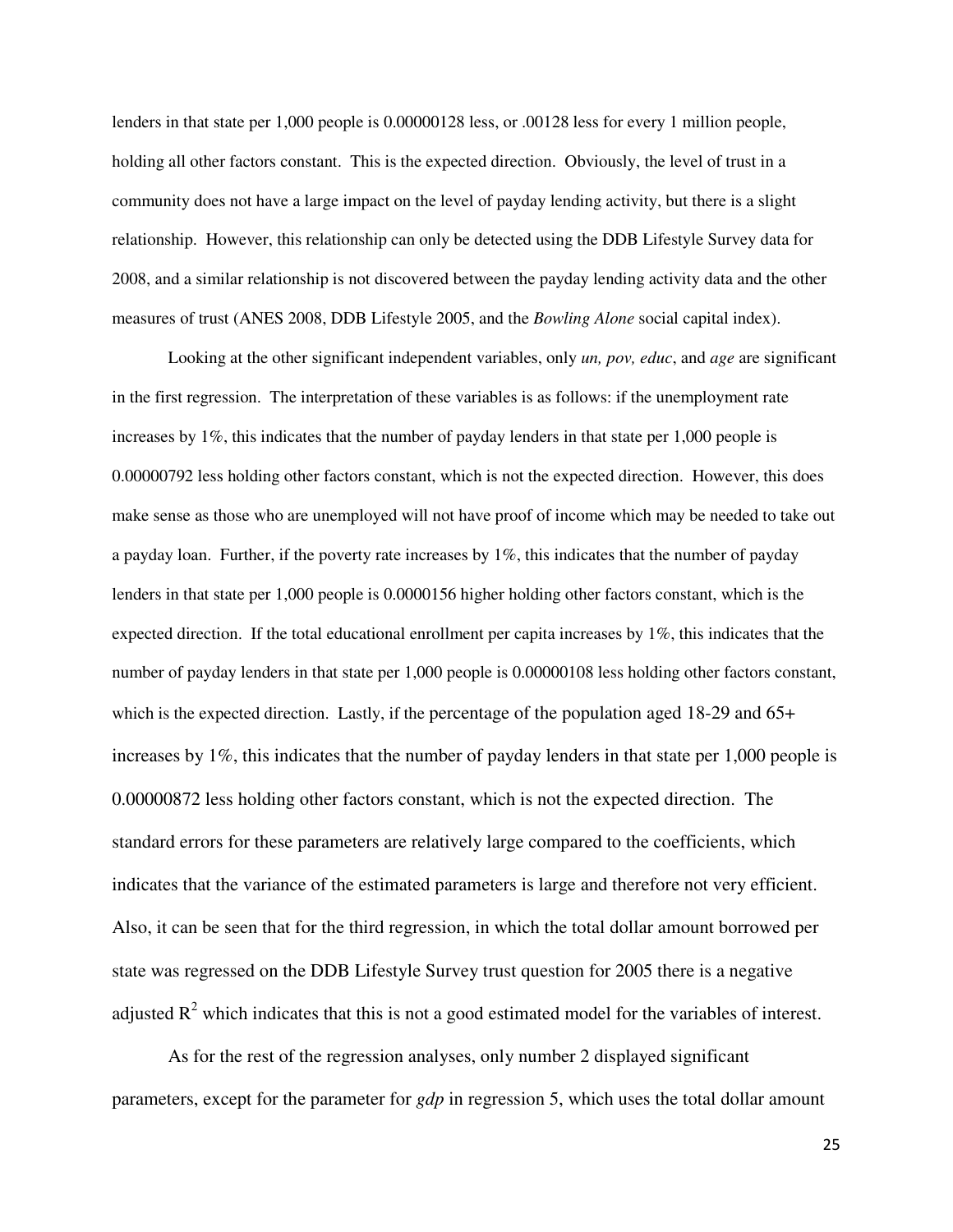lenders in that state per 1,000 people is 0.00000128 less, or .00128 less for every 1 million people, holding all other factors constant. This is the expected direction. Obviously, the level of trust in a community does not have a large impact on the level of payday lending activity, but there is a slight relationship. However, this relationship can only be detected using the DDB Lifestyle Survey data for 2008, and a similar relationship is not discovered between the payday lending activity data and the other measures of trust (ANES 2008, DDB Lifestyle 2005, and the *Bowling Alone* social capital index).

 Looking at the other significant independent variables, only *un, pov, educ*, and *age* are significant in the first regression. The interpretation of these variables is as follows: if the unemployment rate increases by 1%, this indicates that the number of payday lenders in that state per 1,000 people is 0.00000792 less holding other factors constant, which is not the expected direction. However, this does make sense as those who are unemployed will not have proof of income which may be needed to take out a payday loan. Further, if the poverty rate increases by 1%, this indicates that the number of payday lenders in that state per 1,000 people is 0.0000156 higher holding other factors constant, which is the expected direction. If the total educational enrollment per capita increases by 1%, this indicates that the number of payday lenders in that state per 1,000 people is 0.00000108 less holding other factors constant, which is the expected direction. Lastly, if the percentage of the population aged 18-29 and 65+ increases by 1%, this indicates that the number of payday lenders in that state per 1,000 people is 0.00000872 less holding other factors constant, which is not the expected direction. The standard errors for these parameters are relatively large compared to the coefficients, which indicates that the variance of the estimated parameters is large and therefore not very efficient. Also, it can be seen that for the third regression, in which the total dollar amount borrowed per state was regressed on the DDB Lifestyle Survey trust question for 2005 there is a negative adjusted  $R^2$  which indicates that this is not a good estimated model for the variables of interest.

 As for the rest of the regression analyses, only number 2 displayed significant parameters, except for the parameter for *gdp* in regression 5, which uses the total dollar amount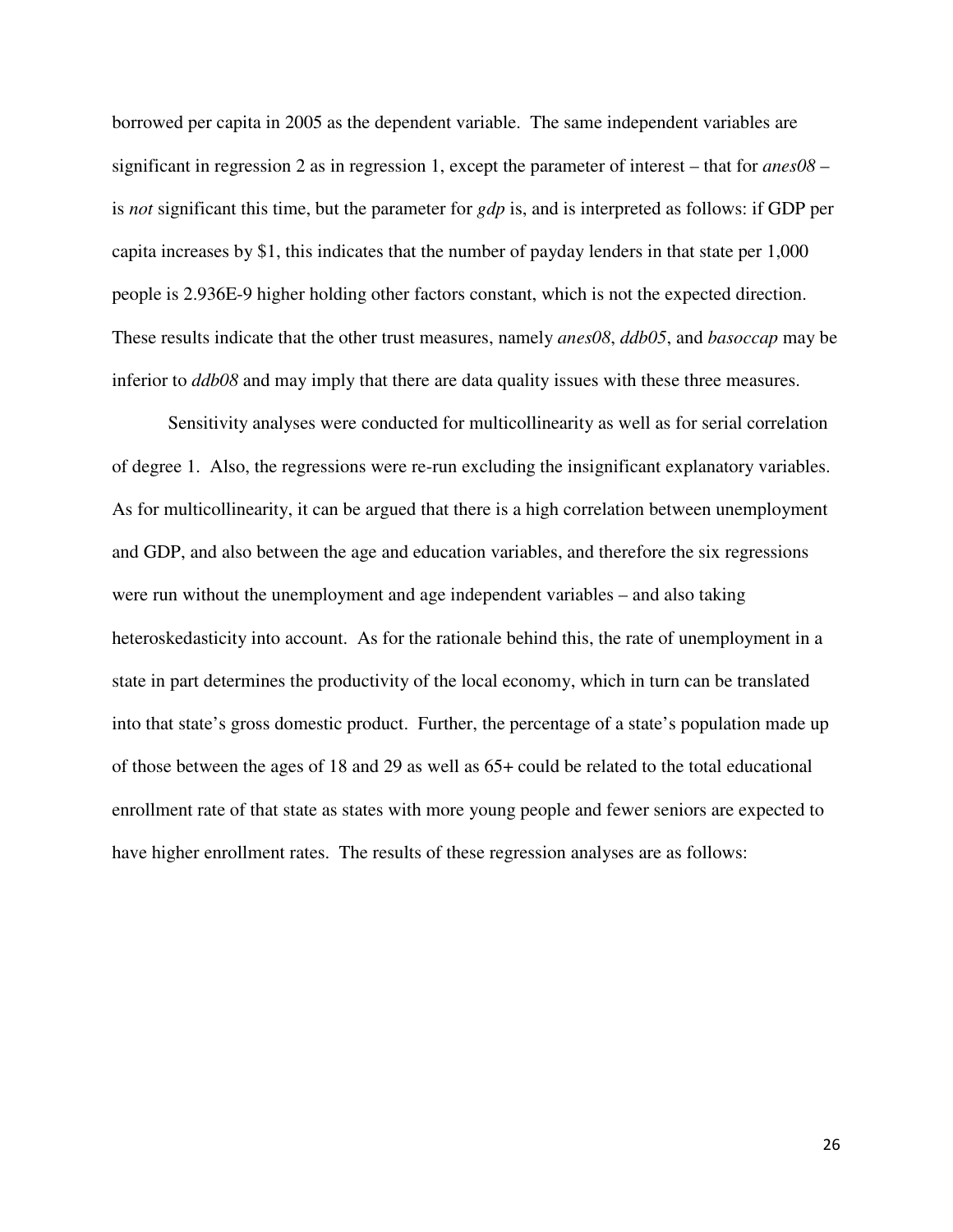borrowed per capita in 2005 as the dependent variable. The same independent variables are significant in regression 2 as in regression 1, except the parameter of interest – that for *anes08* – is *not* significant this time, but the parameter for *gdp* is, and is interpreted as follows: if GDP per capita increases by \$1, this indicates that the number of payday lenders in that state per 1,000 people is 2.936E-9 higher holding other factors constant, which is not the expected direction. These results indicate that the other trust measures, namely *anes08*, *ddb05*, and *basoccap* may be inferior to *ddb08* and may imply that there are data quality issues with these three measures.

 Sensitivity analyses were conducted for multicollinearity as well as for serial correlation of degree 1. Also, the regressions were re-run excluding the insignificant explanatory variables. As for multicollinearity, it can be argued that there is a high correlation between unemployment and GDP, and also between the age and education variables, and therefore the six regressions were run without the unemployment and age independent variables – and also taking heteroskedasticity into account. As for the rationale behind this, the rate of unemployment in a state in part determines the productivity of the local economy, which in turn can be translated into that state's gross domestic product. Further, the percentage of a state's population made up of those between the ages of 18 and 29 as well as 65+ could be related to the total educational enrollment rate of that state as states with more young people and fewer seniors are expected to have higher enrollment rates. The results of these regression analyses are as follows: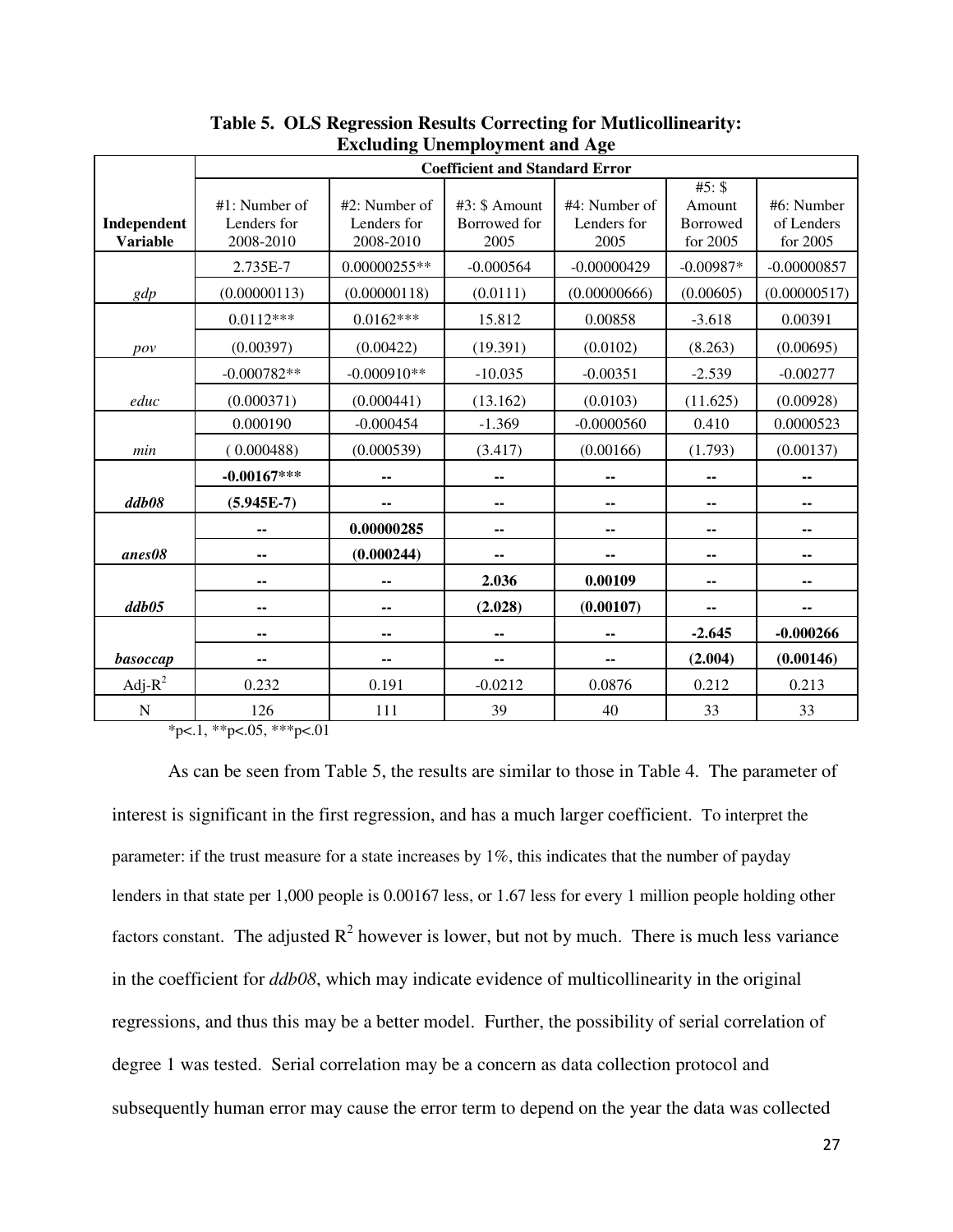|                                | <b>Coefficient and Standard Error</b>        |                                              |                                       |                                      |                                          |                                      |
|--------------------------------|----------------------------------------------|----------------------------------------------|---------------------------------------|--------------------------------------|------------------------------------------|--------------------------------------|
| Independent<br><b>Variable</b> | $#1$ : Number of<br>Lenders for<br>2008-2010 | $#2$ : Number of<br>Lenders for<br>2008-2010 | #3: \$ Amount<br>Borrowed for<br>2005 | #4: Number of<br>Lenders for<br>2005 | #5: \$<br>Amount<br>Borrowed<br>for 2005 | #6: Number<br>of Lenders<br>for 2005 |
|                                | 2.735E-7                                     | $0.00000255**$                               | $-0.000564$                           | $-0.00000429$                        | $-0.00987*$                              | $-0.00000857$                        |
| gdp                            | (0.00000113)                                 | (0.00000118)                                 | (0.0111)                              | (0.00000666)                         | (0.00605)                                | (0.00000517)                         |
|                                | $0.0112***$                                  | $0.0162***$                                  | 15.812                                | 0.00858                              | $-3.618$                                 | 0.00391                              |
| pov                            | (0.00397)                                    | (0.00422)                                    | (19.391)                              | (0.0102)                             | (8.263)                                  | (0.00695)                            |
|                                | $-0.000782**$                                | $-0.000910**$                                | $-10.035$                             | $-0.00351$                           | $-2.539$                                 | $-0.00277$                           |
| educ                           | (0.000371)                                   | (0.000441)                                   | (13.162)                              | (0.0103)                             | (11.625)                                 | (0.00928)                            |
|                                | 0.000190                                     | $-0.000454$                                  | $-1.369$                              | $-0.0000560$                         | 0.410                                    | 0.0000523                            |
| min                            | (0.000488)                                   | (0.000539)                                   | (3.417)                               | (0.00166)                            | (1.793)                                  | (0.00137)                            |
|                                | $-0.00167***$                                | --                                           | ۰.                                    | --                                   | --                                       | --                                   |
| ddb08                          | $(5.945E-7)$                                 |                                              |                                       | ۰.                                   | --                                       |                                      |
|                                | --                                           | 0.00000285                                   |                                       | ۰.                                   | ۰.                                       |                                      |
| anes08                         | --                                           | (0.000244)                                   |                                       | --                                   | --                                       |                                      |
|                                | --                                           |                                              | 2.036                                 | 0.00109                              | --                                       |                                      |
| ddb05                          | --                                           | --                                           | (2.028)                               | (0.00107)                            | ۰.                                       |                                      |
|                                | --                                           | --                                           |                                       |                                      | $-2.645$                                 | $-0.000266$                          |
| basoccap                       | --                                           | --                                           |                                       | --                                   | (2.004)                                  | (0.00146)                            |
| $Adj-R^2$                      | 0.232                                        | 0.191                                        | $-0.0212$                             | 0.0876                               | 0.212                                    | 0.213                                |
| $\mathbf N$                    | 126                                          | 111                                          | 39                                    | 40                                   | 33                                       | 33                                   |

**Table 5. OLS Regression Results Correcting for Mutlicollinearity: Excluding Unemployment and Age** 

 $*p<.1$ ,  $*p<.05$ ,  $**p<.01$ 

 As can be seen from Table 5, the results are similar to those in Table 4. The parameter of interest is significant in the first regression, and has a much larger coefficient. To interpret the parameter: if the trust measure for a state increases by 1%, this indicates that the number of payday lenders in that state per 1,000 people is 0.00167 less, or 1.67 less for every 1 million people holding other factors constant. The adjusted  $R^2$  however is lower, but not by much. There is much less variance in the coefficient for *ddb08*, which may indicate evidence of multicollinearity in the original regressions, and thus this may be a better model. Further, the possibility of serial correlation of degree 1 was tested. Serial correlation may be a concern as data collection protocol and subsequently human error may cause the error term to depend on the year the data was collected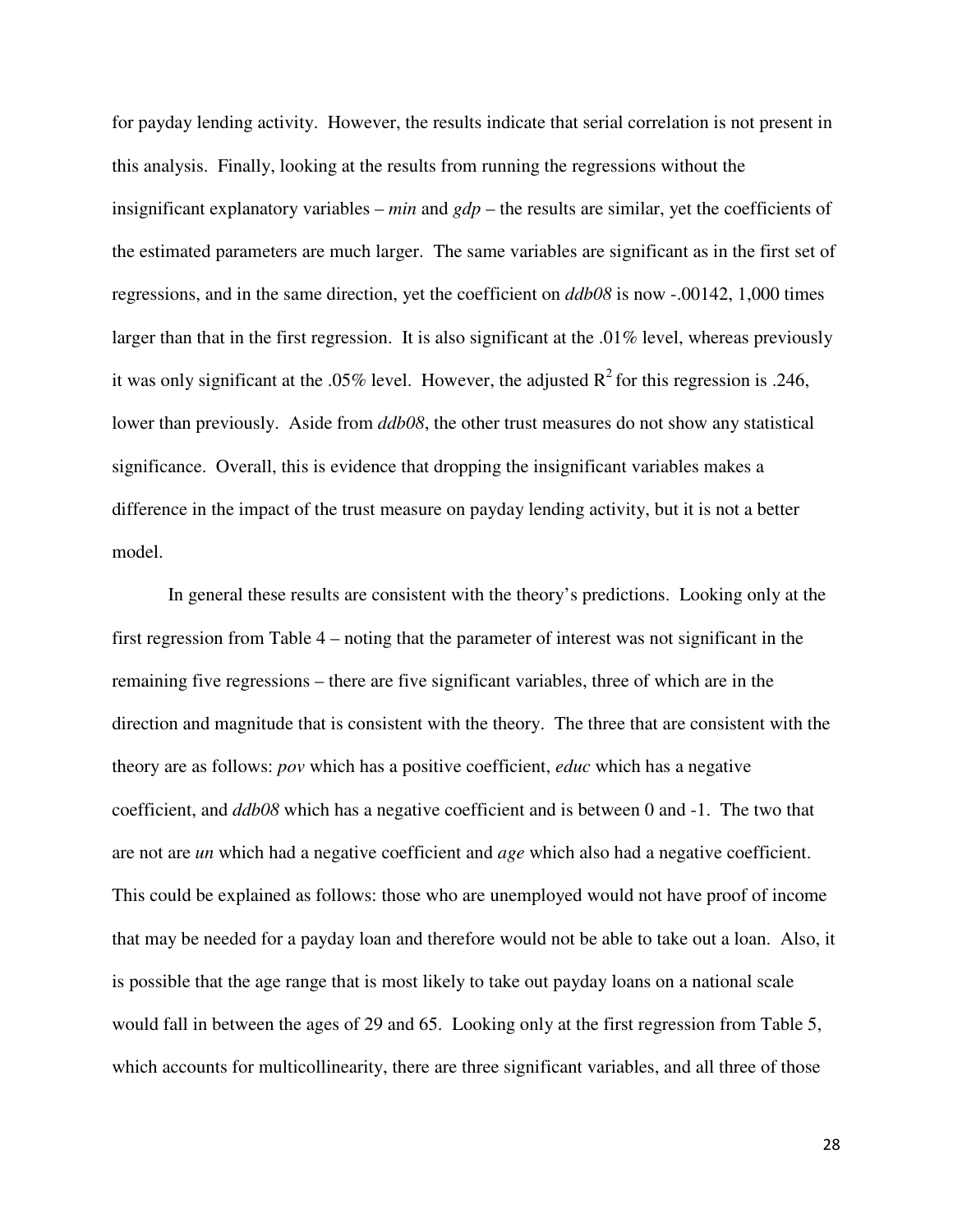for payday lending activity. However, the results indicate that serial correlation is not present in this analysis. Finally, looking at the results from running the regressions without the insignificant explanatory variables – *min* and *gdp* – the results are similar, yet the coefficients of the estimated parameters are much larger. The same variables are significant as in the first set of regressions, and in the same direction, yet the coefficient on *ddb08* is now -.00142, 1,000 times larger than that in the first regression. It is also significant at the .01% level, whereas previously it was only significant at the .05% level. However, the adjusted  $R^2$  for this regression is .246, lower than previously. Aside from *ddb08*, the other trust measures do not show any statistical significance. Overall, this is evidence that dropping the insignificant variables makes a difference in the impact of the trust measure on payday lending activity, but it is not a better model.

In general these results are consistent with the theory's predictions. Looking only at the first regression from Table 4 – noting that the parameter of interest was not significant in the remaining five regressions – there are five significant variables, three of which are in the direction and magnitude that is consistent with the theory. The three that are consistent with the theory are as follows: *pov* which has a positive coefficient, *educ* which has a negative coefficient, and *ddb08* which has a negative coefficient and is between 0 and -1. The two that are not are *un* which had a negative coefficient and *age* which also had a negative coefficient. This could be explained as follows: those who are unemployed would not have proof of income that may be needed for a payday loan and therefore would not be able to take out a loan. Also, it is possible that the age range that is most likely to take out payday loans on a national scale would fall in between the ages of 29 and 65. Looking only at the first regression from Table 5, which accounts for multicollinearity, there are three significant variables, and all three of those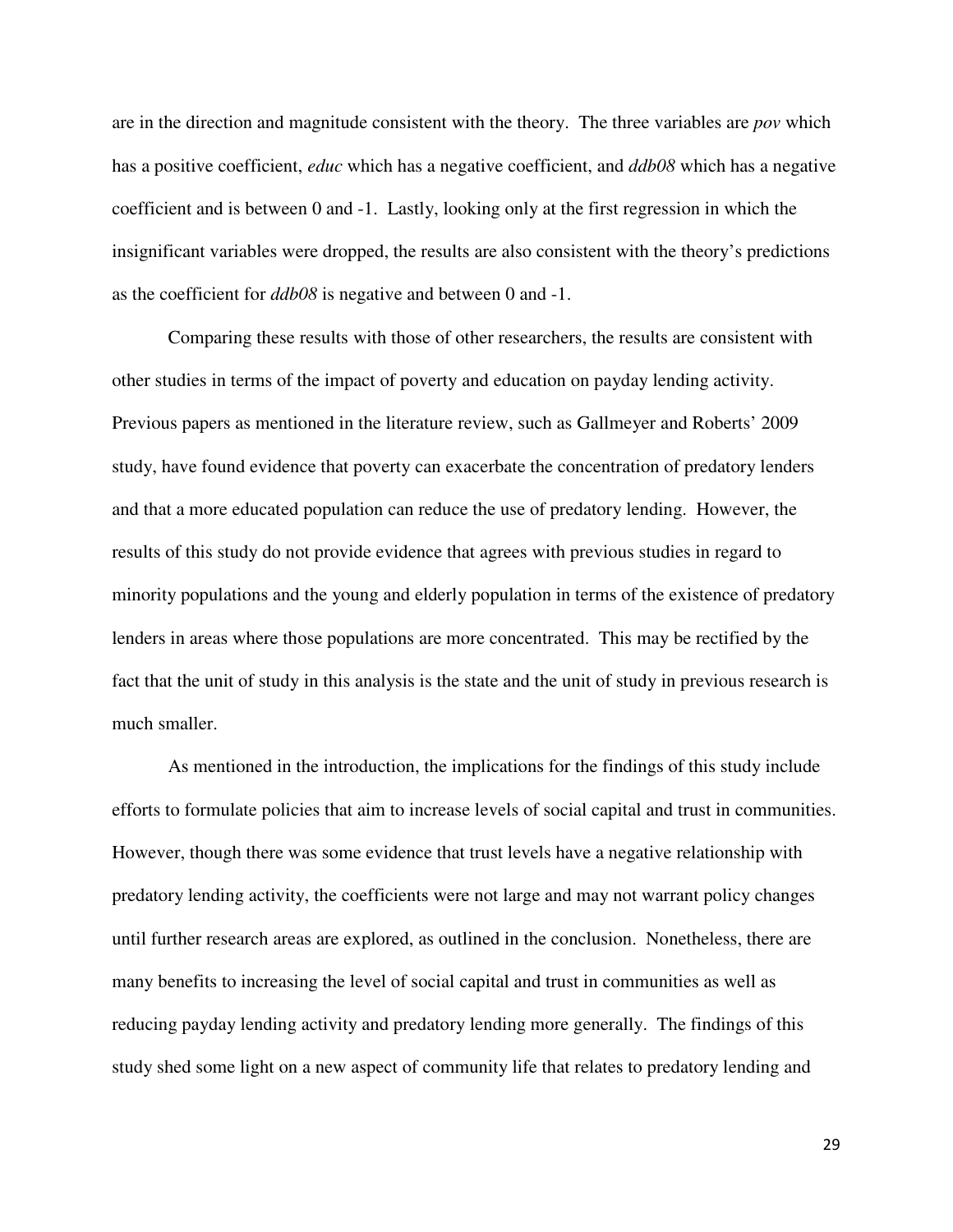are in the direction and magnitude consistent with the theory. The three variables are *pov* which has a positive coefficient, *educ* which has a negative coefficient, and *ddb08* which has a negative coefficient and is between 0 and -1. Lastly, looking only at the first regression in which the insignificant variables were dropped, the results are also consistent with the theory's predictions as the coefficient for *ddb08* is negative and between 0 and -1.

Comparing these results with those of other researchers, the results are consistent with other studies in terms of the impact of poverty and education on payday lending activity. Previous papers as mentioned in the literature review, such as Gallmeyer and Roberts' 2009 study, have found evidence that poverty can exacerbate the concentration of predatory lenders and that a more educated population can reduce the use of predatory lending. However, the results of this study do not provide evidence that agrees with previous studies in regard to minority populations and the young and elderly population in terms of the existence of predatory lenders in areas where those populations are more concentrated. This may be rectified by the fact that the unit of study in this analysis is the state and the unit of study in previous research is much smaller.

As mentioned in the introduction, the implications for the findings of this study include efforts to formulate policies that aim to increase levels of social capital and trust in communities. However, though there was some evidence that trust levels have a negative relationship with predatory lending activity, the coefficients were not large and may not warrant policy changes until further research areas are explored, as outlined in the conclusion. Nonetheless, there are many benefits to increasing the level of social capital and trust in communities as well as reducing payday lending activity and predatory lending more generally. The findings of this study shed some light on a new aspect of community life that relates to predatory lending and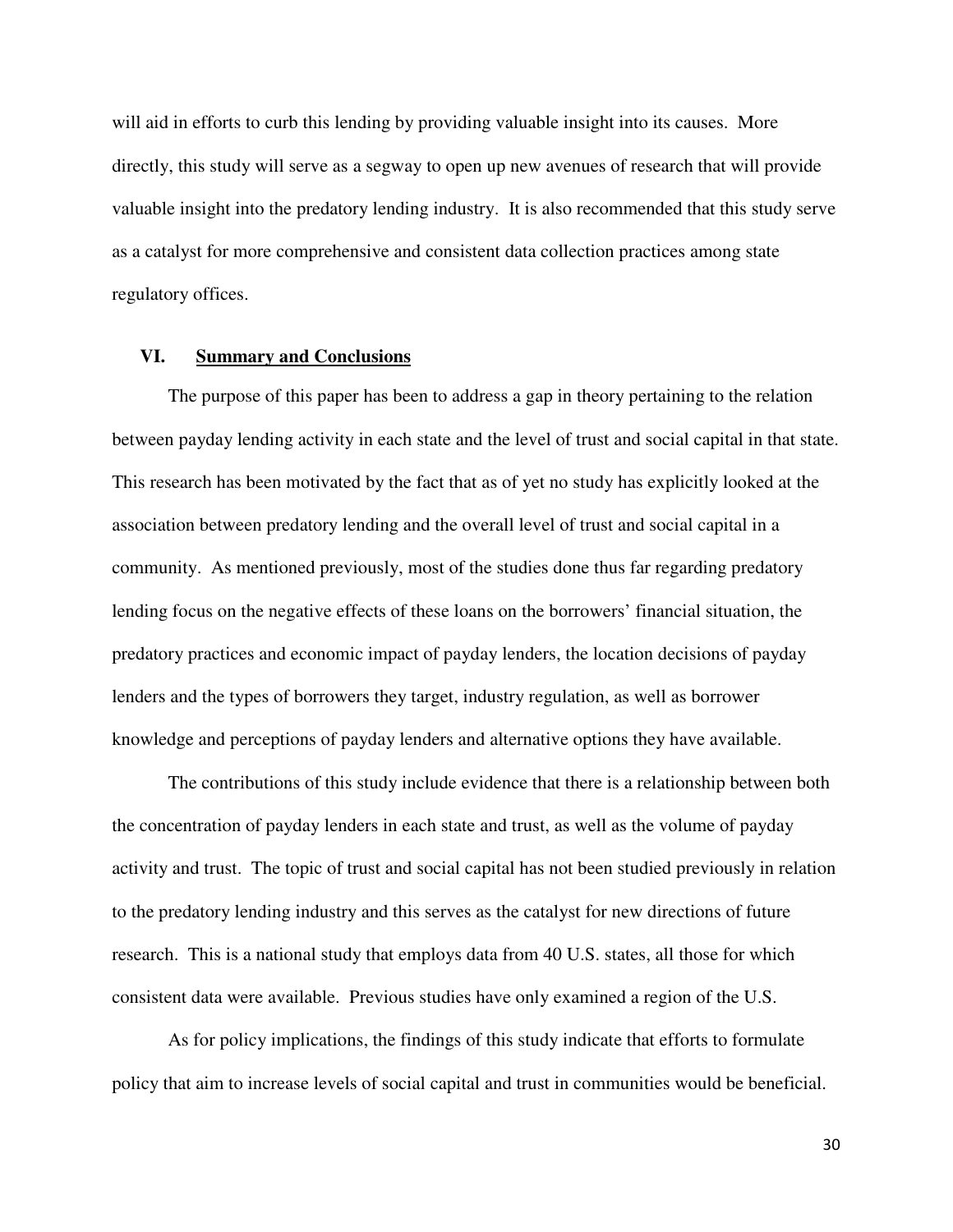will aid in efforts to curb this lending by providing valuable insight into its causes. More directly, this study will serve as a segway to open up new avenues of research that will provide valuable insight into the predatory lending industry. It is also recommended that this study serve as a catalyst for more comprehensive and consistent data collection practices among state regulatory offices.

#### **VI. Summary and Conclusions**

The purpose of this paper has been to address a gap in theory pertaining to the relation between payday lending activity in each state and the level of trust and social capital in that state. This research has been motivated by the fact that as of yet no study has explicitly looked at the association between predatory lending and the overall level of trust and social capital in a community. As mentioned previously, most of the studies done thus far regarding predatory lending focus on the negative effects of these loans on the borrowers' financial situation, the predatory practices and economic impact of payday lenders, the location decisions of payday lenders and the types of borrowers they target, industry regulation, as well as borrower knowledge and perceptions of payday lenders and alternative options they have available.

The contributions of this study include evidence that there is a relationship between both the concentration of payday lenders in each state and trust, as well as the volume of payday activity and trust. The topic of trust and social capital has not been studied previously in relation to the predatory lending industry and this serves as the catalyst for new directions of future research. This is a national study that employs data from 40 U.S. states, all those for which consistent data were available. Previous studies have only examined a region of the U.S.

As for policy implications, the findings of this study indicate that efforts to formulate policy that aim to increase levels of social capital and trust in communities would be beneficial.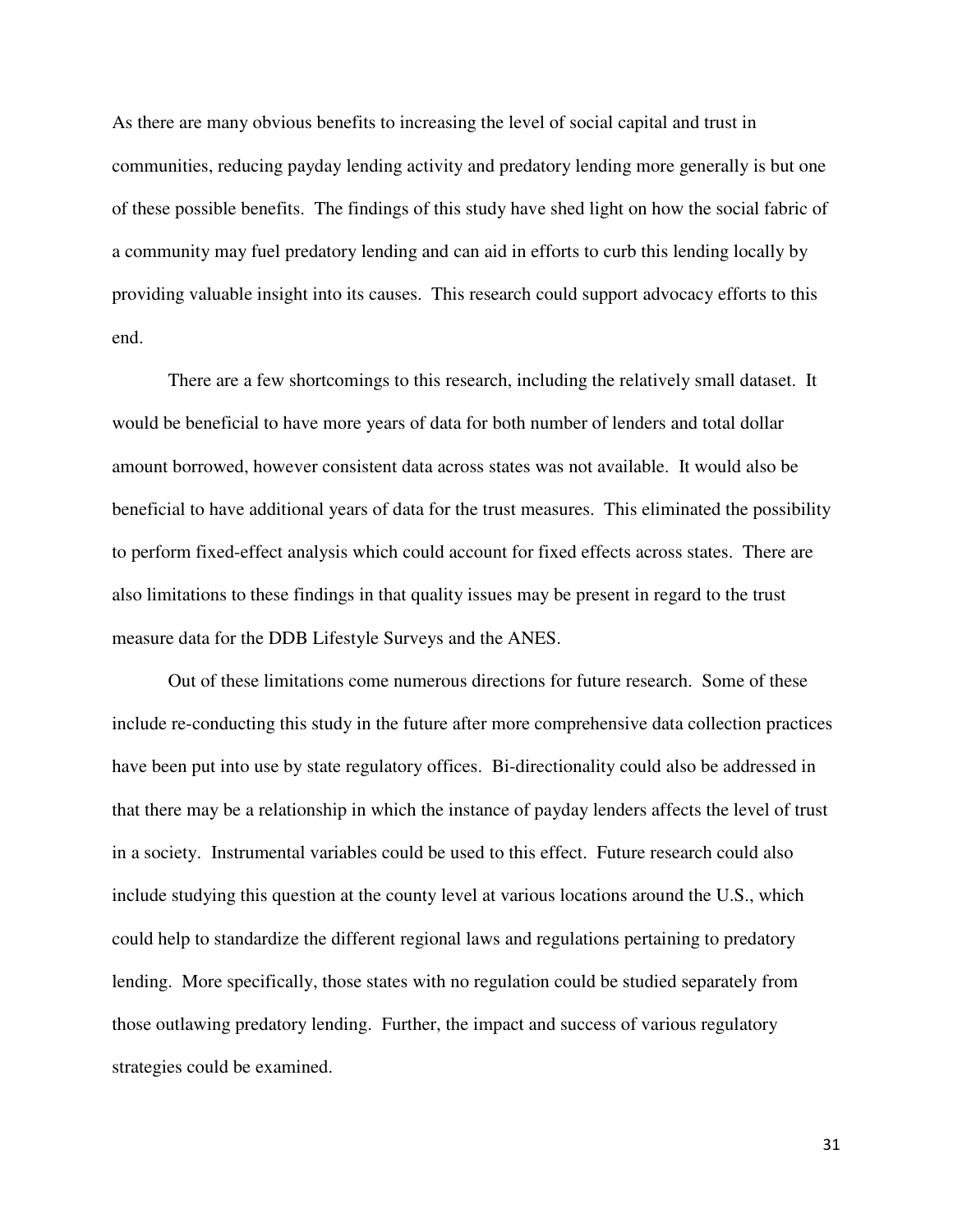As there are many obvious benefits to increasing the level of social capital and trust in communities, reducing payday lending activity and predatory lending more generally is but one of these possible benefits. The findings of this study have shed light on how the social fabric of a community may fuel predatory lending and can aid in efforts to curb this lending locally by providing valuable insight into its causes. This research could support advocacy efforts to this end.

 There are a few shortcomings to this research, including the relatively small dataset. It would be beneficial to have more years of data for both number of lenders and total dollar amount borrowed, however consistent data across states was not available. It would also be beneficial to have additional years of data for the trust measures. This eliminated the possibility to perform fixed-effect analysis which could account for fixed effects across states. There are also limitations to these findings in that quality issues may be present in regard to the trust measure data for the DDB Lifestyle Surveys and the ANES.

 Out of these limitations come numerous directions for future research. Some of these include re-conducting this study in the future after more comprehensive data collection practices have been put into use by state regulatory offices. Bi-directionality could also be addressed in that there may be a relationship in which the instance of payday lenders affects the level of trust in a society. Instrumental variables could be used to this effect. Future research could also include studying this question at the county level at various locations around the U.S., which could help to standardize the different regional laws and regulations pertaining to predatory lending. More specifically, those states with no regulation could be studied separately from those outlawing predatory lending. Further, the impact and success of various regulatory strategies could be examined.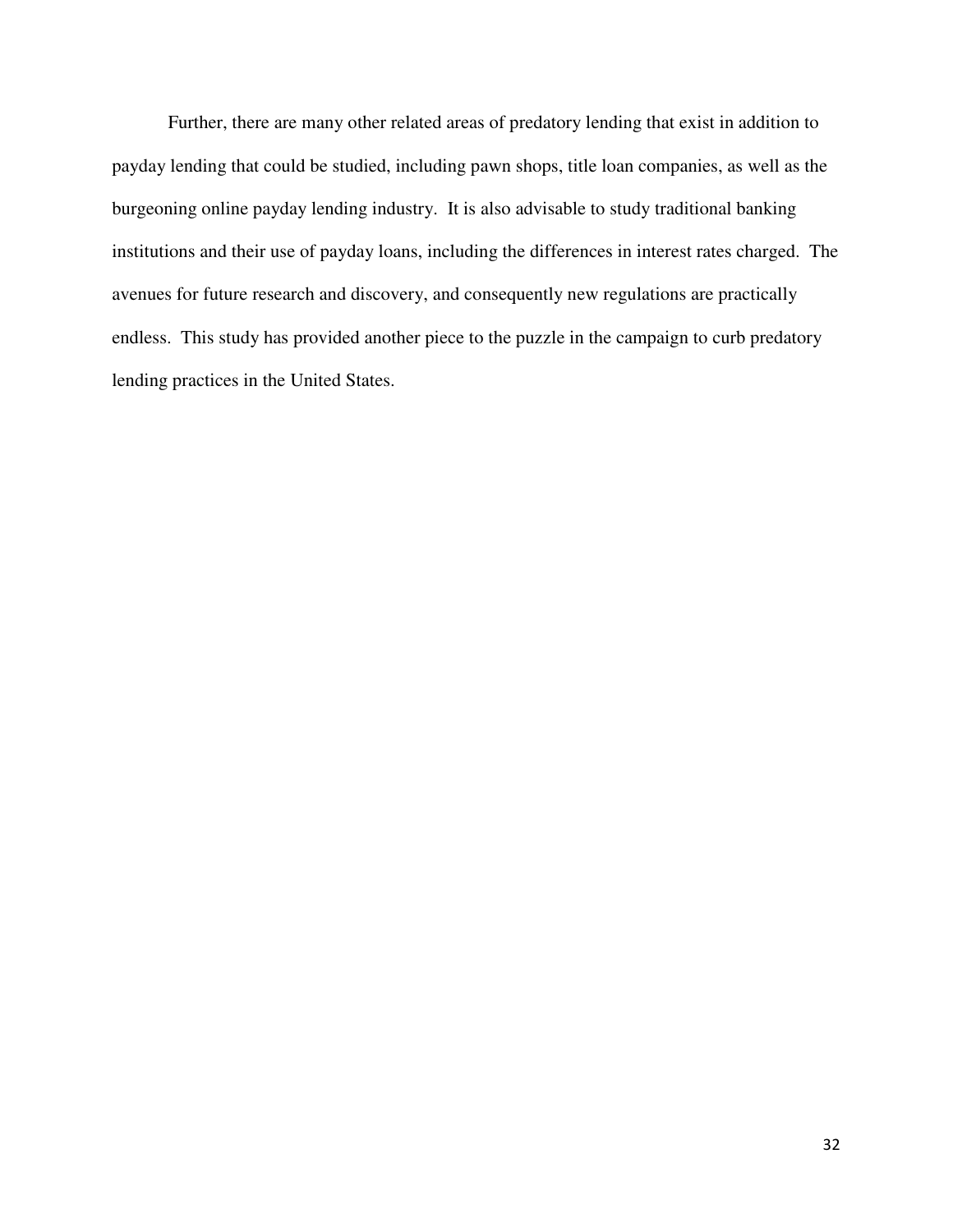Further, there are many other related areas of predatory lending that exist in addition to payday lending that could be studied, including pawn shops, title loan companies, as well as the burgeoning online payday lending industry. It is also advisable to study traditional banking institutions and their use of payday loans, including the differences in interest rates charged. The avenues for future research and discovery, and consequently new regulations are practically endless. This study has provided another piece to the puzzle in the campaign to curb predatory lending practices in the United States.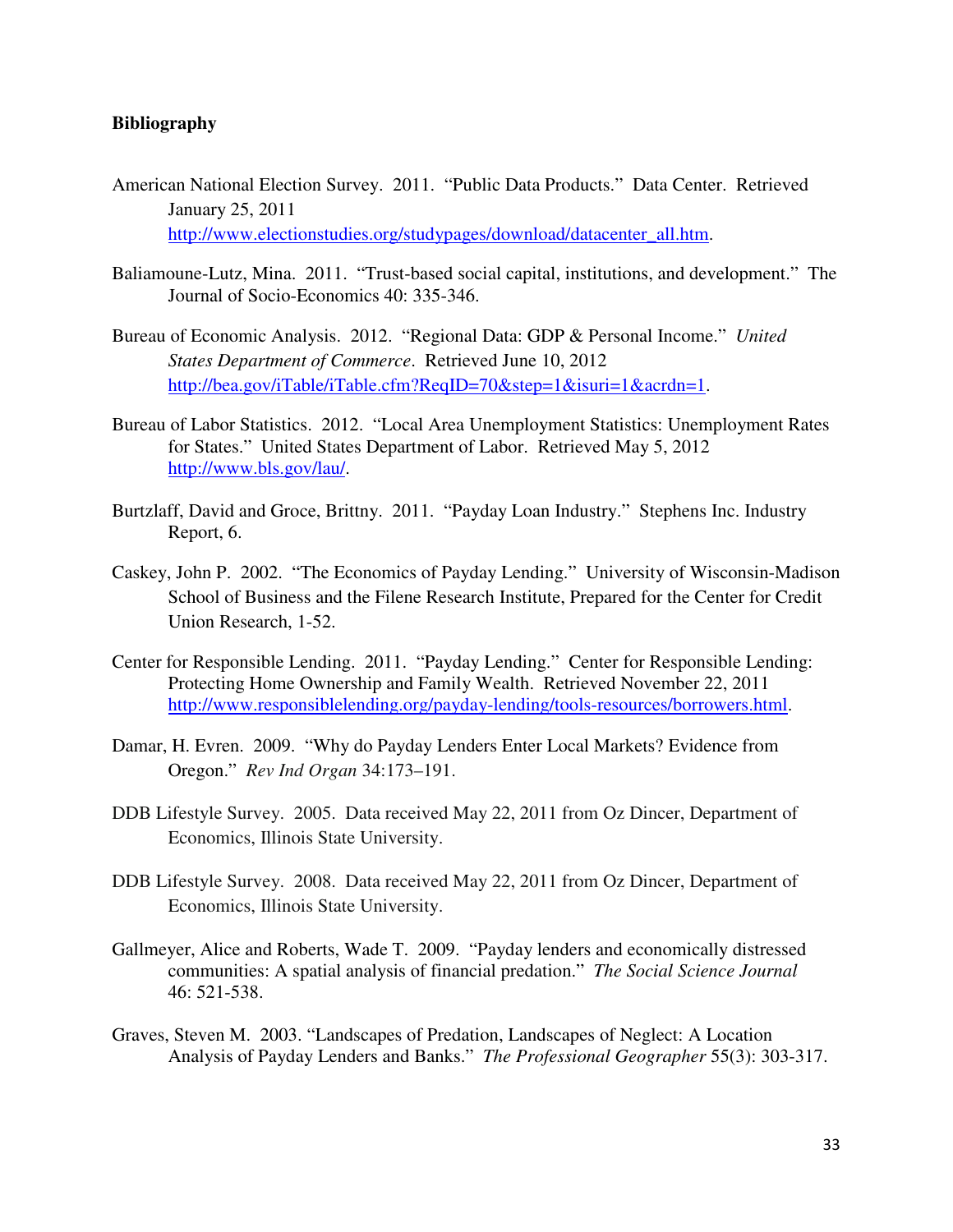# **Bibliography**

- American National Election Survey. 2011. "Public Data Products." Data Center. Retrieved January 25, 2011 http://www.electionstudies.org/studypages/download/datacenter\_all.htm.
- Baliamoune-Lutz, Mina. 2011. "Trust-based social capital, institutions, and development." The Journal of Socio-Economics 40: 335-346.
- Bureau of Economic Analysis. 2012. "Regional Data: GDP & Personal Income." *United States Department of Commerce*. Retrieved June 10, 2012 http://bea.gov/iTable/iTable.cfm?ReqID=70&step=1&isuri=1&acrdn=1.
- Bureau of Labor Statistics. 2012. "Local Area Unemployment Statistics: Unemployment Rates for States." United States Department of Labor. Retrieved May 5, 2012 http://www.bls.gov/lau/.
- Burtzlaff, David and Groce, Brittny. 2011. "Payday Loan Industry." Stephens Inc. Industry Report, 6.
- Caskey, John P. 2002. "The Economics of Payday Lending." University of Wisconsin-Madison School of Business and the Filene Research Institute, Prepared for the Center for Credit Union Research, 1-52.
- Center for Responsible Lending. 2011. "Payday Lending." Center for Responsible Lending: Protecting Home Ownership and Family Wealth. Retrieved November 22, 2011 http://www.responsiblelending.org/payday-lending/tools-resources/borrowers.html.
- Damar, H. Evren. 2009. "Why do Payday Lenders Enter Local Markets? Evidence from Oregon." *Rev Ind Organ* 34:173–191.
- DDB Lifestyle Survey. 2005. Data received May 22, 2011 from Oz Dincer, Department of Economics, Illinois State University.
- DDB Lifestyle Survey. 2008. Data received May 22, 2011 from Oz Dincer, Department of Economics, Illinois State University.
- Gallmeyer, Alice and Roberts, Wade T. 2009. "Payday lenders and economically distressed communities: A spatial analysis of financial predation." *The Social Science Journal*  46: 521-538.
- Graves, Steven M. 2003. "Landscapes of Predation, Landscapes of Neglect: A Location Analysis of Payday Lenders and Banks." *The Professional Geographer* 55(3): 303-317.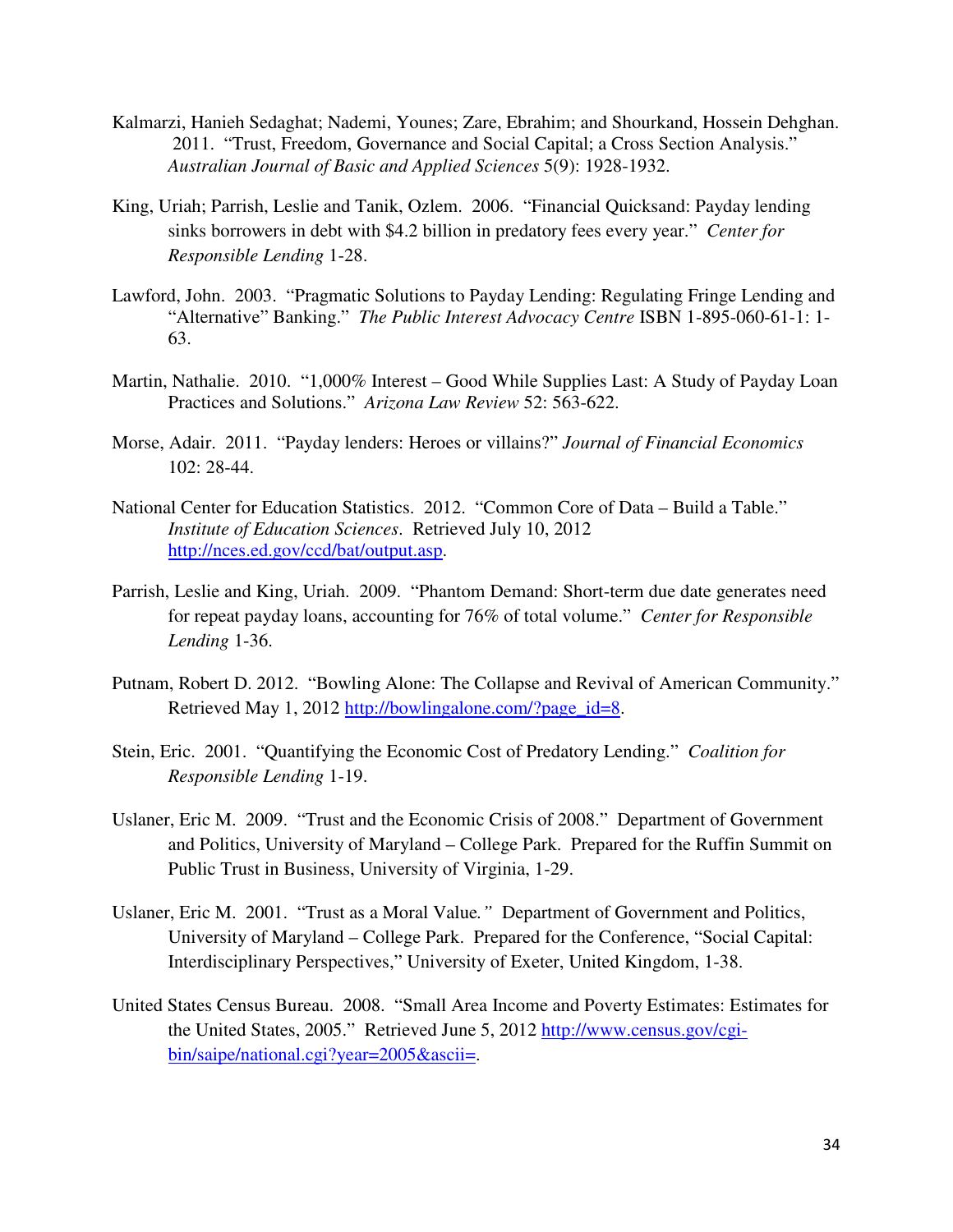- Kalmarzi, Hanieh Sedaghat; Nademi, Younes; Zare, Ebrahim; and Shourkand, Hossein Dehghan. 2011. "Trust, Freedom, Governance and Social Capital; a Cross Section Analysis." *Australian Journal of Basic and Applied Sciences* 5(9): 1928-1932.
- King, Uriah; Parrish, Leslie and Tanik, Ozlem. 2006. "Financial Quicksand: Payday lending sinks borrowers in debt with \$4.2 billion in predatory fees every year." *Center for Responsible Lending* 1-28.
- Lawford, John. 2003. "Pragmatic Solutions to Payday Lending: Regulating Fringe Lending and "Alternative" Banking." *The Public Interest Advocacy Centre* ISBN 1-895-060-61-1: 1- 63.
- Martin, Nathalie. 2010. "1,000% Interest Good While Supplies Last: A Study of Payday Loan Practices and Solutions." *Arizona Law Review* 52: 563-622.
- Morse, Adair. 2011. "Payday lenders: Heroes or villains?" *Journal of Financial Economics* 102: 28-44.
- National Center for Education Statistics. 2012. "Common Core of Data Build a Table." *Institute of Education Sciences*. Retrieved July 10, 2012 http://nces.ed.gov/ccd/bat/output.asp.
- Parrish, Leslie and King, Uriah. 2009. "Phantom Demand: Short-term due date generates need for repeat payday loans, accounting for 76% of total volume." *Center for Responsible Lending* 1-36.
- Putnam, Robert D. 2012. "Bowling Alone: The Collapse and Revival of American Community." Retrieved May 1, 2012 http://bowlingalone.com/?page\_id=8.
- Stein, Eric. 2001. "Quantifying the Economic Cost of Predatory Lending." *Coalition for Responsible Lending* 1-19.
- Uslaner, Eric M. 2009. "Trust and the Economic Crisis of 2008." Department of Government and Politics, University of Maryland – College Park. Prepared for the Ruffin Summit on Public Trust in Business, University of Virginia, 1-29.
- Uslaner, Eric M. 2001. "Trust as a Moral Value*."* Department of Government and Politics, University of Maryland – College Park. Prepared for the Conference, "Social Capital: Interdisciplinary Perspectives," University of Exeter, United Kingdom, 1-38.
- United States Census Bureau. 2008. "Small Area Income and Poverty Estimates: Estimates for the United States, 2005." Retrieved June 5, 2012 http://www.census.gov/cgi bin/saipe/national.cgi?year=2005&ascii=.